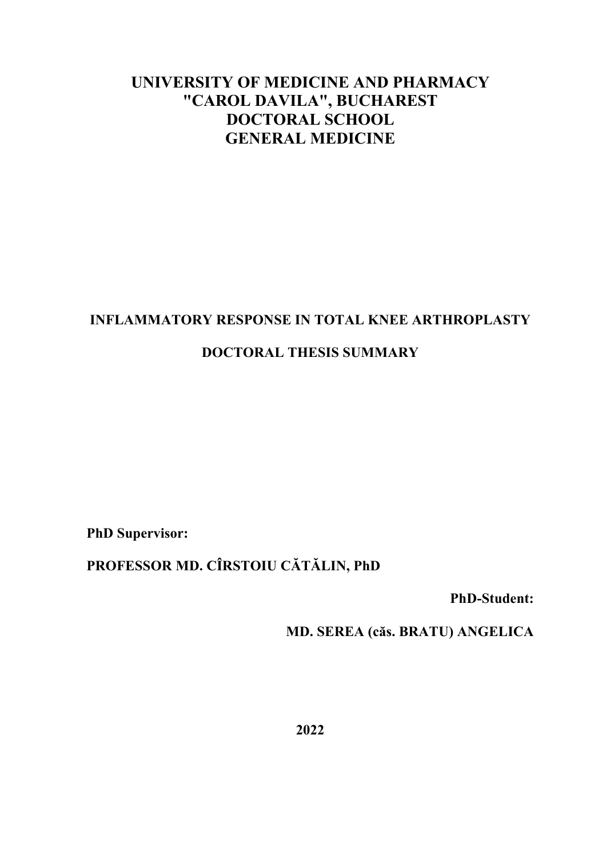# **UNIVERSITY OF MEDICINE AND PHARMACY "CAROL DAVILA", BUCHAREST DOCTORAL SCHOOL GENERAL MEDICINE**

## **INFLAMMATORY RESPONSE IN TOTAL KNEE ARTHROPLASTY**

## **DOCTORAL THESIS SUMMARY**

**PhD Supervisor:**

## **PROFESSOR MD. CÎRSTOIU CĂTĂLIN, PhD**

**PhD-Student:**

**MD. SEREA (căs. BRATU) ANGELICA**

**2022**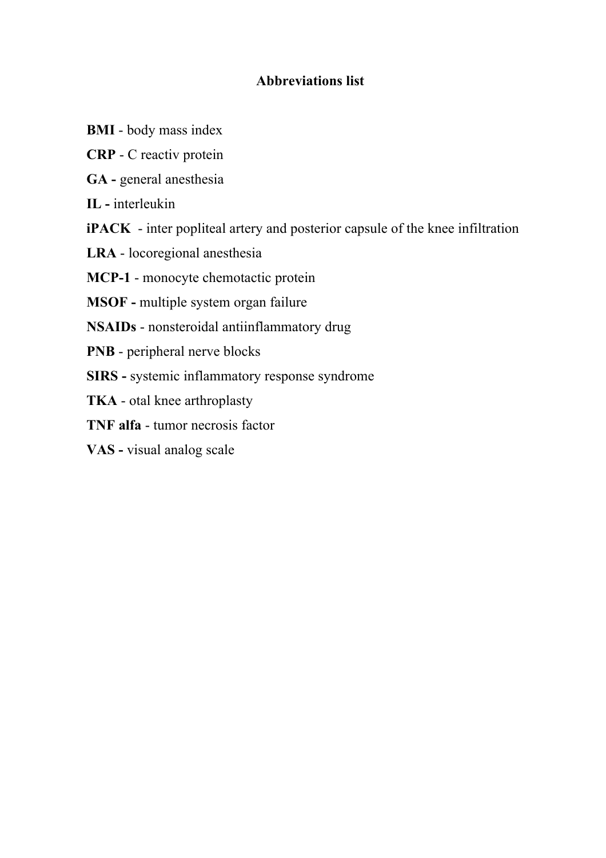## **Abbreviations list**

- **BMI**  body mass index
- **CRP** C reactiv protein
- **GA -** general anesthesia

**IL -** interleukin

**iPACK** - inter popliteal artery and posterior capsule of the knee infiltration

**LRA** - locoregional anesthesia

**MCP-1** - monocyte chemotactic protein

**MSOF -** multiple system organ failure

**NSAIDs** - nonsteroidal antiinflammatory drug

- **PNB** peripheral nerve blocks
- **SIRS -** systemic inflammatory response syndrome

**TKA** - otal knee arthroplasty

**TNF alfa** - tumor necrosis factor

**VAS -** visual analog scale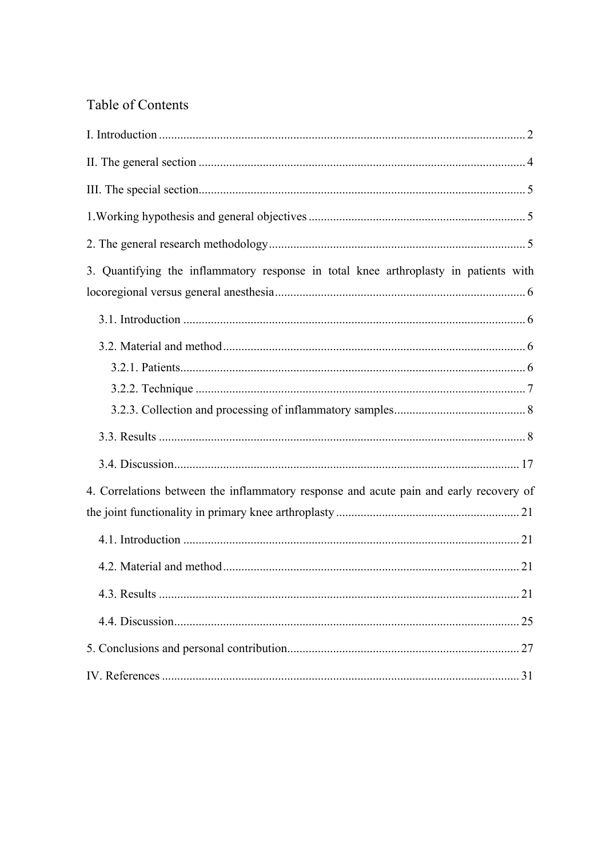## Table of Contents

| 3. Quantifying the inflammatory response in total knee arthroplasty in patients with   |
|----------------------------------------------------------------------------------------|
|                                                                                        |
|                                                                                        |
|                                                                                        |
|                                                                                        |
| 4. Correlations between the inflammatory response and acute pain and early recovery of |
|                                                                                        |
|                                                                                        |
|                                                                                        |
|                                                                                        |
|                                                                                        |
|                                                                                        |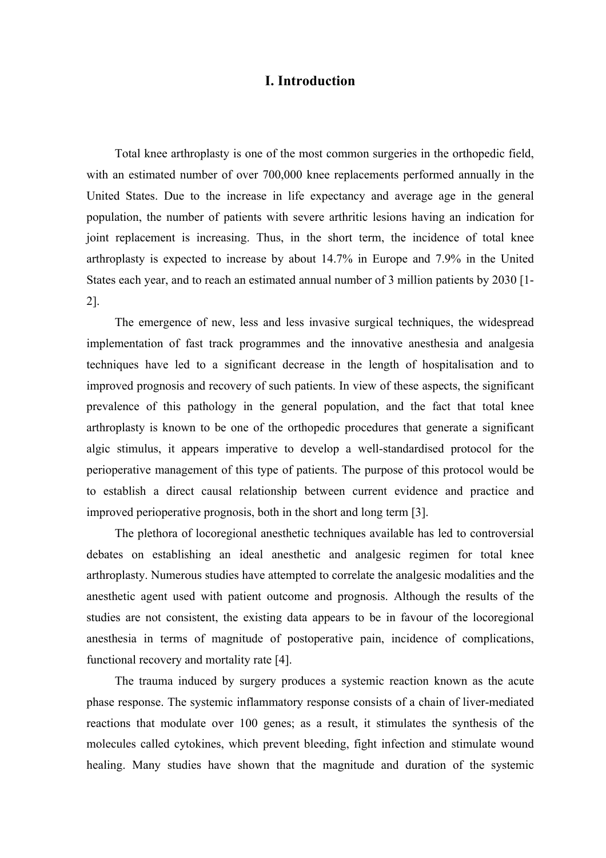### **I. Introduction**

Total knee arthroplasty is one of the most common surgeries in the orthopedic field, with an estimated number of over 700,000 knee replacements performed annually in the United States. Due to the increase in life expectancy and average age in the general population, the number of patients with severe arthritic lesions having an indication for joint replacement is increasing. Thus, in the short term, the incidence of total knee arthroplasty is expected to increase by about 14.7% in Europe and 7.9% in the United States each year, and to reach an estimated annual number of 3 million patients by 2030 [1- 2].

The emergence of new, less and less invasive surgical techniques, the widespread implementation of fast track programmes and the innovative anesthesia and analgesia techniques have led to a significant decrease in the length of hospitalisation and to improved prognosis and recovery of such patients. In view of these aspects, the significant prevalence of this pathology in the general population, and the fact that total knee arthroplasty is known to be one of the orthopedic procedures that generate a significant algic stimulus, it appears imperative to develop a well-standardised protocol for the perioperative management of this type of patients. The purpose of this protocol would be to establish a direct causal relationship between current evidence and practice and improved perioperative prognosis, both in the short and long term [3].

The plethora of locoregional anesthetic techniques available has led to controversial debates on establishing an ideal anesthetic and analgesic regimen for total knee arthroplasty. Numerous studies have attempted to correlate the analgesic modalities and the anesthetic agent used with patient outcome and prognosis. Although the results of the studies are not consistent, the existing data appears to be in favour of the locoregional anesthesia in terms of magnitude of postoperative pain, incidence of complications, functional recovery and mortality rate [4].

The trauma induced by surgery produces a systemic reaction known as the acute phase response. The systemic inflammatory response consists of a chain of liver-mediated reactions that modulate over 100 genes; as a result, it stimulates the synthesis of the molecules called cytokines, which prevent bleeding, fight infection and stimulate wound healing. Many studies have shown that the magnitude and duration of the systemic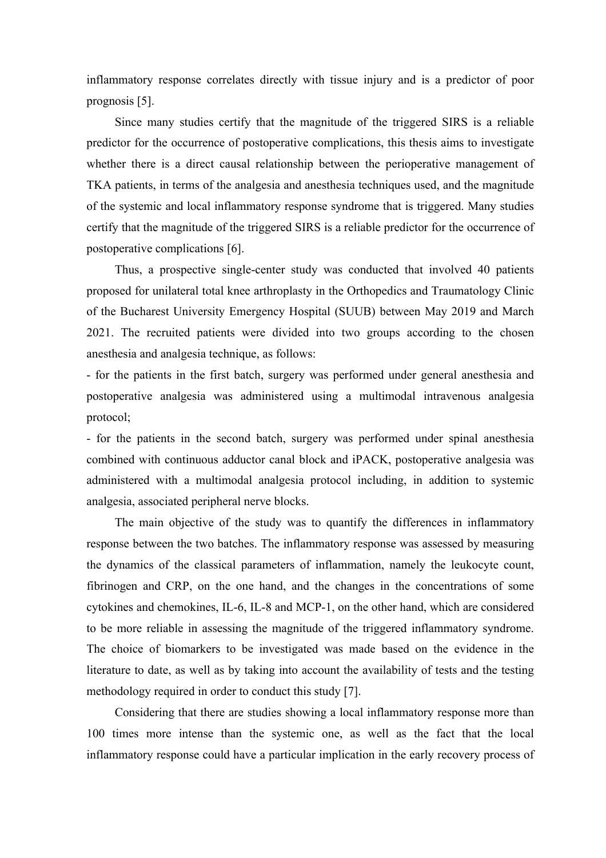inflammatory response correlates directly with tissue injury and is a predictor of poor prognosis [5].

Since many studies certify that the magnitude of the triggered SIRS is a reliable predictor for the occurrence of postoperative complications, this thesis aims to investigate whether there is a direct causal relationship between the perioperative management of TKA patients, in terms of the analgesia and anesthesia techniques used, and the magnitude of the systemic and local inflammatory response syndrome that is triggered. Many studies certify that the magnitude of the triggered SIRS is a reliable predictor for the occurrence of postoperative complications [6].

Thus, a prospective single-center study was conducted that involved 40 patients proposed for unilateral total knee arthroplasty in the Orthopedics and Traumatology Clinic of the Bucharest University Emergency Hospital (SUUB) between May 2019 and March 2021. The recruited patients were divided into two groups according to the chosen anesthesia and analgesia technique, as follows:

- for the patients in the first batch, surgery was performed under general anesthesia and postoperative analgesia was administered using a multimodal intravenous analgesia protocol;

- for the patients in the second batch, surgery was performed under spinal anesthesia combined with continuous adductor canal block and iPACK, postoperative analgesia was administered with a multimodal analgesia protocol including, in addition to systemic analgesia, associated peripheral nerve blocks.

The main objective of the study was to quantify the differences in inflammatory response between the two batches. The inflammatory response was assessed by measuring the dynamics of the classical parameters of inflammation, namely the leukocyte count, fibrinogen and CRP, on the one hand, and the changes in the concentrations of some cytokines and chemokines, IL-6, IL-8 and MCP-1, on the other hand, which are considered to be more reliable in assessing the magnitude of the triggered inflammatory syndrome. The choice of biomarkers to be investigated was made based on the evidence in the literature to date, as well as by taking into account the availability of tests and the testing methodology required in order to conduct this study [7].

Considering that there are studies showing a local inflammatory response more than 100 times more intense than the systemic one, as well as the fact that the local inflammatory response could have a particular implication in the early recovery process of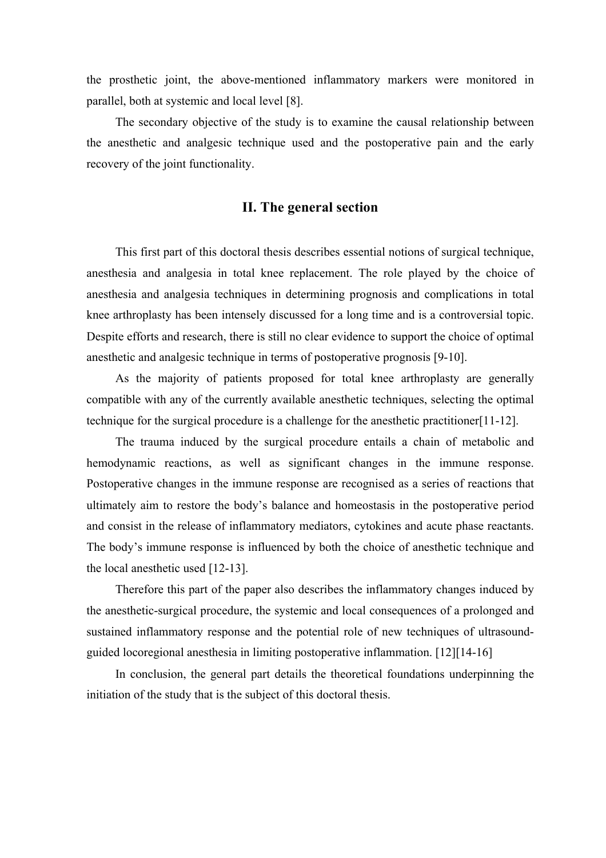the prosthetic joint, the above-mentioned inflammatory markers were monitored in parallel, both at systemic and local level [8].

The secondary objective of the study is to examine the causal relationship between the anesthetic and analgesic technique used and the postoperative pain and the early recovery of the joint functionality.

#### **II. The general section**

This first part of this doctoral thesis describes essential notions of surgical technique, anesthesia and analgesia in total knee replacement. The role played by the choice of anesthesia and analgesia techniques in determining prognosis and complications in total knee arthroplasty has been intensely discussed for a long time and is a controversial topic. Despite efforts and research, there is still no clear evidence to support the choice of optimal anesthetic and analgesic technique in terms of postoperative prognosis [9-10].

As the majority of patients proposed for total knee arthroplasty are generally compatible with any of the currently available anesthetic techniques, selecting the optimal technique for the surgical procedure is a challenge for the anesthetic practitioner[11-12].

The trauma induced by the surgical procedure entails a chain of metabolic and hemodynamic reactions, as well as significant changes in the immune response. Postoperative changes in the immune response are recognised as a series of reactions that ultimately aim to restore the body's balance and homeostasis in the postoperative period and consist in the release of inflammatory mediators, cytokines and acute phase reactants. The body's immune response is influenced by both the choice of anesthetic technique and the local anesthetic used [12-13].

Therefore this part of the paper also describes the inflammatory changes induced by the anesthetic-surgical procedure, the systemic and local consequences of a prolonged and sustained inflammatory response and the potential role of new techniques of ultrasoundguided locoregional anesthesia in limiting postoperative inflammation. [12][14-16]

In conclusion, the general part details the theoretical foundations underpinning the initiation of the study that is the subject of this doctoral thesis.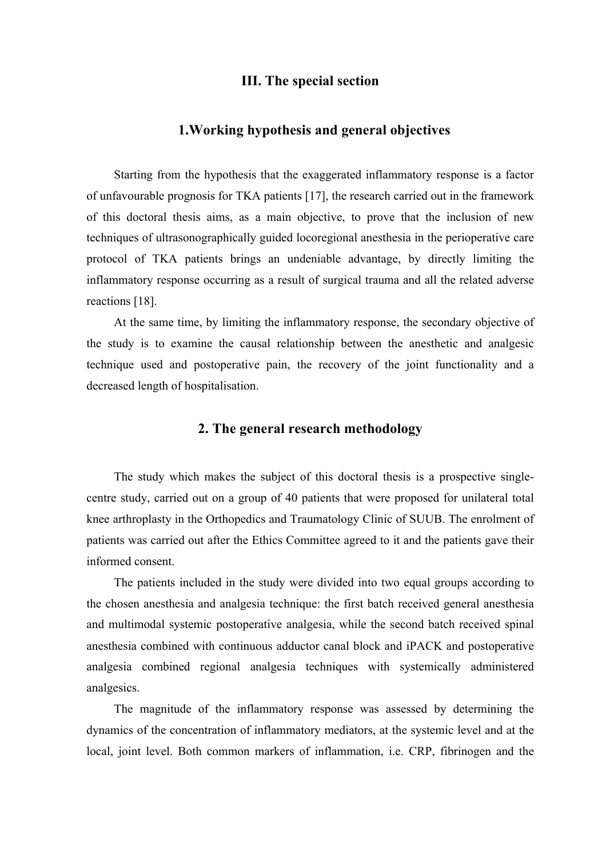### **III. The special section**

### **1.Working hypothesis and general objectives**

Starting from the hypothesis that the exaggerated inflammatory response is a factor of unfavourable prognosis for TKA patients [17], the research carried out in the framework of this doctoral thesis aims, as a main objective, to prove that the inclusion of new techniques of ultrasonographically guided locoregional anesthesia in the perioperative care protocol of TKA patients brings an undeniable advantage, by directly limiting the inflammatory response occurring as a result of surgical trauma and all the related adverse reactions [18].

At the same time, by limiting the inflammatory response, the secondary objective of the study is to examine the causal relationship between the anesthetic and analgesic technique used and postoperative pain, the recovery of the joint functionality and a decreased length of hospitalisation.

### **2. The general research methodology**

The study which makes the subject of this doctoral thesis is a prospective singlecentre study, carried out on a group of 40 patients that were proposed for unilateral total knee arthroplasty in the Orthopedics and Traumatology Clinic of SUUB. The enrolment of patients was carried out after the Ethics Committee agreed to it and the patients gave their informed consent.

The patients included in the study were divided into two equal groups according to the chosen anesthesia and analgesia technique: the first batch received general anesthesia and multimodal systemic postoperative analgesia, while the second batch received spinal anesthesia combined with continuous adductor canal block and iPACK and postoperative analgesia combined regional analgesia techniques with systemically administered analgesics.

The magnitude of the inflammatory response was assessed by determining the dynamics of the concentration of inflammatory mediators, at the systemic level and at the local, joint level. Both common markers of inflammation, i.e. CRP, fibrinogen and the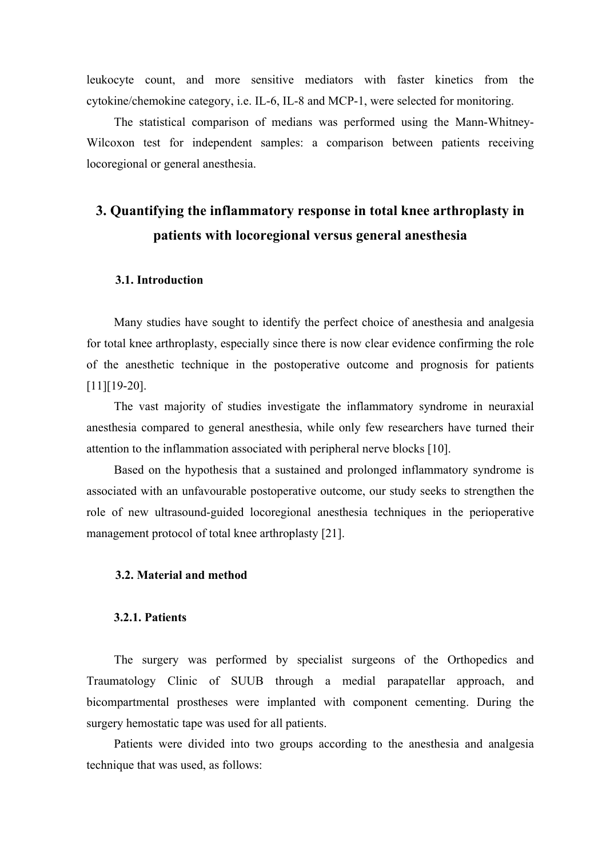leukocyte count, and more sensitive mediators with faster kinetics from the cytokine/chemokine category, i.e. IL-6, IL-8 and MCP-1, were selected for monitoring.

The statistical comparison of medians was performed using the Mann-Whitney-Wilcoxon test for independent samples: a comparison between patients receiving locoregional or general anesthesia.

# **3. Quantifying the inflammatory response in total knee arthroplasty in patients with locoregional versus general anesthesia**

### **3.1. Introduction**

Many studies have sought to identify the perfect choice of anesthesia and analgesia for total knee arthroplasty, especially since there is now clear evidence confirming the role of the anesthetic technique in the postoperative outcome and prognosis for patients [11][19-20].

The vast majority of studies investigate the inflammatory syndrome in neuraxial anesthesia compared to general anesthesia, while only few researchers have turned their attention to the inflammation associated with peripheral nerve blocks [10].

Based on the hypothesis that a sustained and prolonged inflammatory syndrome is associated with an unfavourable postoperative outcome, our study seeks to strengthen the role of new ultrasound-guided locoregional anesthesia techniques in the perioperative management protocol of total knee arthroplasty [21].

### **3.2. Material and method**

#### **3.2.1. Patients**

The surgery was performed by specialist surgeons of the Orthopedics and Traumatology Clinic of SUUB through a medial parapatellar approach, and bicompartmental prostheses were implanted with component cementing. During the surgery hemostatic tape was used for all patients.

Patients were divided into two groups according to the anesthesia and analgesia technique that was used, as follows: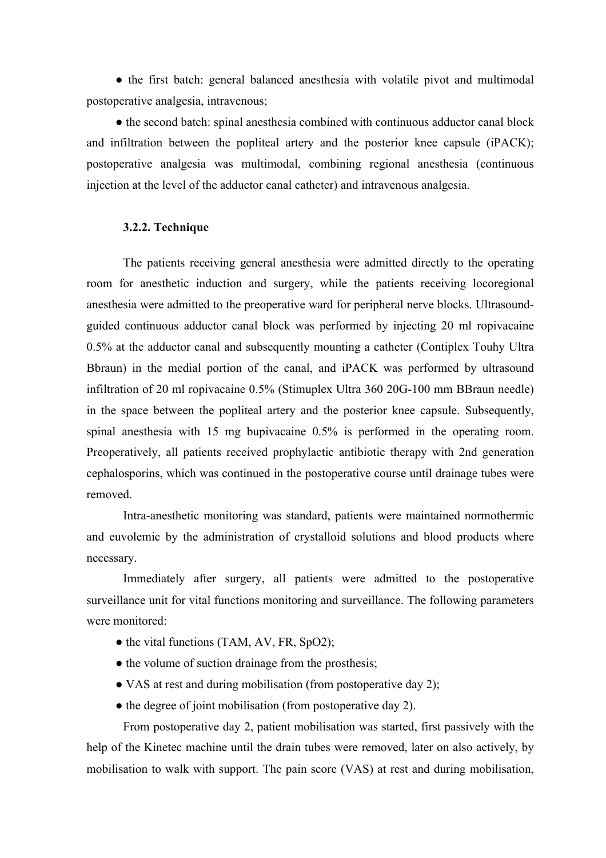• the first batch: general balanced anesthesia with volatile pivot and multimodal postoperative analgesia, intravenous;

● the second batch: spinal anesthesia combined with continuous adductor canal block and infiltration between the popliteal artery and the posterior knee capsule (iPACK); postoperative analgesia was multimodal, combining regional anesthesia (continuous injection at the level of the adductor canal catheter) and intravenous analgesia.

#### **3.2.2. Technique**

The patients receiving general anesthesia were admitted directly to the operating room for anesthetic induction and surgery, while the patients receiving locoregional anesthesia were admitted to the preoperative ward for peripheral nerve blocks. Ultrasoundguided continuous adductor canal block was performed by injecting 20 ml ropivacaine 0.5% at the adductor canal and subsequently mounting a catheter (Contiplex Touhy Ultra Bbraun) in the medial portion of the canal, and iPACK was performed by ultrasound infiltration of 20 ml ropivacaine 0.5% (Stimuplex Ultra 360 20G-100 mm BBraun needle) in the space between the popliteal artery and the posterior knee capsule. Subsequently, spinal anesthesia with 15 mg bupivacaine 0.5% is performed in the operating room. Preoperatively, all patients received prophylactic antibiotic therapy with 2nd generation cephalosporins, which was continued in the postoperative course until drainage tubes were removed.

Intra-anesthetic monitoring was standard, patients were maintained normothermic and euvolemic by the administration of crystalloid solutions and blood products where necessary.

Immediately after surgery, all patients were admitted to the postoperative surveillance unit for vital functions monitoring and surveillance. The following parameters were monitored:

- the vital functions (TAM, AV, FR, SpO2);
- the volume of suction drainage from the prosthesis;
- VAS at rest and during mobilisation (from postoperative day 2);
- the degree of joint mobilisation (from postoperative day 2).

From postoperative day 2, patient mobilisation was started, first passively with the help of the Kinetec machine until the drain tubes were removed, later on also actively, by mobilisation to walk with support. The pain score (VAS) at rest and during mobilisation,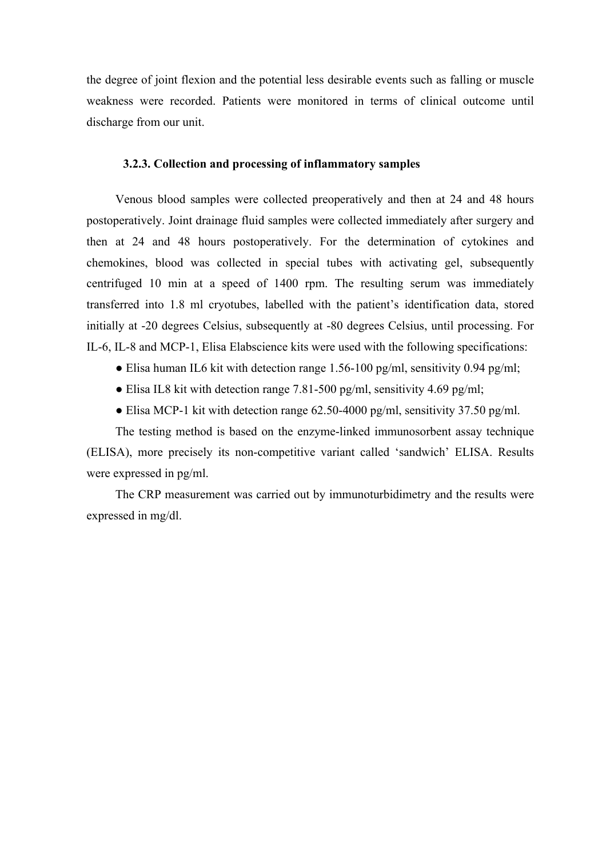the degree of joint flexion and the potential less desirable events such as falling or muscle weakness were recorded. Patients were monitored in terms of clinical outcome until discharge from our unit.

### **3.2.3. Collection and processing of inflammatory samples**

Venous blood samples were collected preoperatively and then at 24 and 48 hours postoperatively. Joint drainage fluid samples were collected immediately after surgery and then at 24 and 48 hours postoperatively. For the determination of cytokines and chemokines, blood was collected in special tubes with activating gel, subsequently centrifuged 10 min at a speed of 1400 rpm. The resulting serum was immediately transferred into 1.8 ml cryotubes, labelled with the patient's identification data, stored initially at -20 degrees Celsius, subsequently at -80 degrees Celsius, until processing. For IL-6, IL-8 and MCP-1, Elisa Elabscience kits were used with the following specifications:

- Elisa human IL6 kit with detection range 1.56-100 pg/ml, sensitivity 0.94 pg/ml;
- Elisa IL8 kit with detection range 7.81-500 pg/ml, sensitivity 4.69 pg/ml;
- Elisa MCP-1 kit with detection range  $62.50-4000$  pg/ml, sensitivity 37.50 pg/ml.

The testing method is based on the enzyme-linked immunosorbent assay technique (ELISA), more precisely its non-competitive variant called 'sandwich' ELISA. Results were expressed in pg/ml.

The CRP measurement was carried out by immunoturbidimetry and the results were expressed in mg/dl.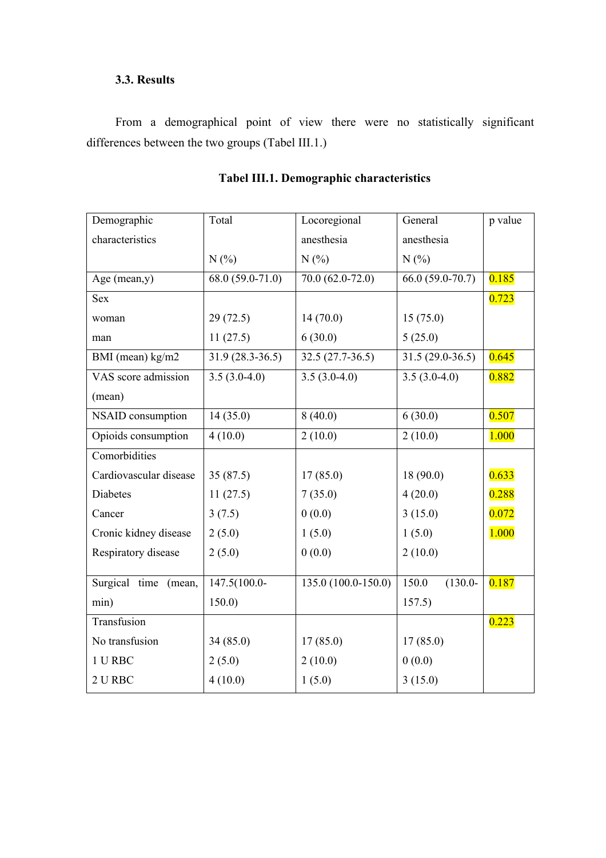## **3.3. Results**

From a demographical point of view there were no statistically significant differences between the two groups (Tabel III.1.)

| Demographic            | Total             | Locoregional         | General            | p value |
|------------------------|-------------------|----------------------|--------------------|---------|
| characteristics        |                   | anesthesia           | anesthesia         |         |
|                        | N(%               | N(%                  | N(%                |         |
| Age (mean,y)           | $68.0(59.0-71.0)$ | $70.0(62.0-72.0)$    | $66.0(59.0-70.7)$  | 0.185   |
| <b>Sex</b>             |                   |                      |                    | 0.723   |
| woman                  | 29(72.5)          | 14(70.0)             | 15(75.0)           |         |
| man                    | 11(27.5)          | 6(30.0)              | 5(25.0)            |         |
| BMI (mean) kg/m2       | $31.9(28.3-36.5)$ | $32.5(27.7-36.5)$    | $31.5(29.0-36.5)$  | 0.645   |
| VAS score admission    | $3.5(3.0-4.0)$    | $3.5(3.0-4.0)$       | $3.5(3.0-4.0)$     | 0.882   |
| (mean)                 |                   |                      |                    |         |
| NSAID consumption      | 14(35.0)          | 8(40.0)              | 6(30.0)            | 0.507   |
| Opioids consumption    | 4(10.0)           | 2(10.0)              | 2(10.0)            | 1.000   |
| Comorbidities          |                   |                      |                    |         |
| Cardiovascular disease | 35(87.5)          | 17(85.0)             | 18(90.0)           | 0.633   |
| Diabetes               | 11(27.5)          | 7(35.0)              | 4(20.0)            | 0.288   |
| Cancer                 | 3(7.5)            | 0(0.0)               | 3(15.0)            | 0.072   |
| Cronic kidney disease  | 2(5.0)            | 1(5.0)               | 1(5.0)             | 1.000   |
| Respiratory disease    | 2(5.0)            | 0(0.0)               | 2(10.0)            |         |
| Surgical time (mean,   | $147.5(100.0-$    | $135.0(100.0-150.0)$ | $(130.0-$<br>150.0 | 0.187   |
|                        |                   |                      |                    |         |
| min)                   | 150.0)            |                      | 157.5)             |         |
| Transfusion            |                   |                      |                    | 0.223   |
| No transfusion         | 34(85.0)          | 17(85.0)             | 17(85.0)           |         |
| 1 U RBC                | 2(5.0)            | 2(10.0)              | 0(0.0)             |         |
| 2 U RBC                | 4(10.0)           | 1(5.0)               | 3(15.0)            |         |

# **Tabel III.1. Demographic characteristics**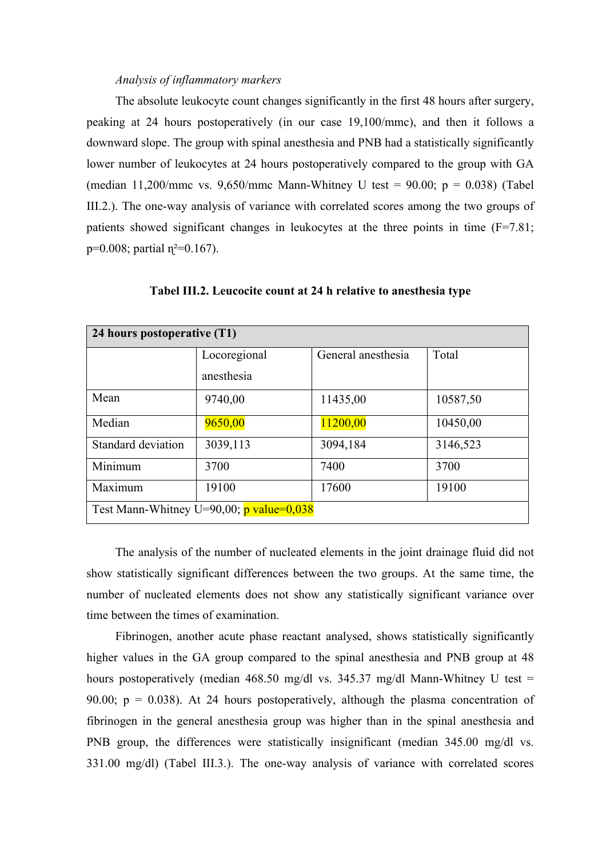#### *Analysis of inflammatory markers*

The absolute leukocyte count changes significantly in the first 48 hours after surgery, peaking at 24 hours postoperatively (in our case 19,100/mmc), and then it follows a downward slope. The group with spinal anesthesia and PNB had a statistically significantly lower number of leukocytes at 24 hours postoperatively compared to the group with GA (median 11,200/mmc vs. 9,650/mmc Mann-Whitney U test = 90.00;  $p = 0.038$ ) (Tabel III.2.). The one-way analysis of variance with correlated scores among the two groups of patients showed significant changes in leukocytes at the three points in time (F=7.81;  $p=0.008$ ; partial  $p^2=0.167$ ).

| 24 hours postoperative (T1)                |              |                    |          |
|--------------------------------------------|--------------|--------------------|----------|
|                                            | Locoregional | General anesthesia | Total    |
|                                            | anesthesia   |                    |          |
| Mean                                       | 9740,00      | 11435,00           | 10587,50 |
| Median                                     | 9650,00      | 11200,00           | 10450,00 |
| Standard deviation                         | 3039,113     | 3094,184           | 3146,523 |
| Minimum                                    | 3700         | 7400               | 3700     |
| Maximum                                    | 19100        | 17600              | 19100    |
| Test Mann-Whitney U=90,00; $p$ value=0,038 |              |                    |          |

**Tabel III.2. Leucocite count at 24 h relative to anesthesia type**

The analysis of the number of nucleated elements in the joint drainage fluid did not show statistically significant differences between the two groups. At the same time, the number of nucleated elements does not show any statistically significant variance over time between the times of examination.

Fibrinogen, another acute phase reactant analysed, shows statistically significantly higher values in the GA group compared to the spinal anesthesia and PNB group at 48 hours postoperatively (median 468.50 mg/dl vs. 345.37 mg/dl Mann-Whitney U test = 90.00;  $p = 0.038$ ). At 24 hours postoperatively, although the plasma concentration of fibrinogen in the general anesthesia group was higher than in the spinal anesthesia and PNB group, the differences were statistically insignificant (median 345.00 mg/dl vs. 331.00 mg/dl) (Tabel III.3.). The one-way analysis of variance with correlated scores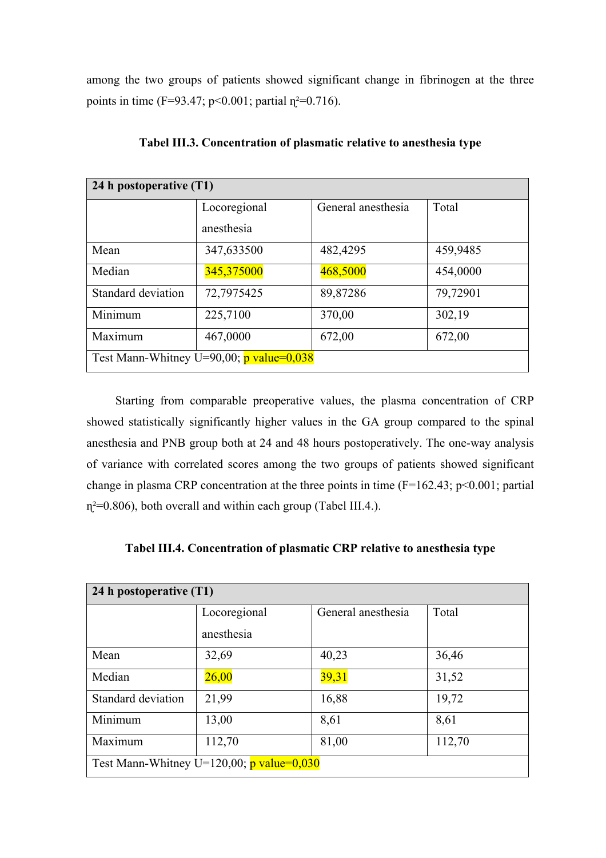among the two groups of patients showed significant change in fibrinogen at the three points in time (F=93.47;  $p<0.001$ ; partial  $\eta^2=0.716$ ).

| 24 h postoperative (T1)                    |              |                    |          |
|--------------------------------------------|--------------|--------------------|----------|
|                                            | Locoregional | General anesthesia | Total    |
|                                            | anesthesia   |                    |          |
| Mean                                       | 347,633500   | 482,4295           | 459,9485 |
| Median                                     | 345,375000   | 468,5000           | 454,0000 |
| Standard deviation                         | 72,7975425   | 89,87286           | 79,72901 |
| Minimum                                    | 225,7100     | 370,00             | 302,19   |
| Maximum                                    | 467,0000     | 672,00             | 672,00   |
| Test Mann-Whitney U=90,00; $p$ value=0,038 |              |                    |          |

**Tabel III.3. Concentration of plasmatic relative to anesthesia type**

Starting from comparable preoperative values, the plasma concentration of CRP showed statistically significantly higher values in the GA group compared to the spinal anesthesia and PNB group both at 24 and 48 hours postoperatively. The one-way analysis of variance with correlated scores among the two groups of patients showed significant change in plasma CRP concentration at the three points in time  $(F=162.43; p<0.001;$  partial  $\eta$ <sup>2=0.806</sup>), both overall and within each group (Tabel III.4.).

| 24 h postoperative (T1)                           |              |                    |        |
|---------------------------------------------------|--------------|--------------------|--------|
|                                                   | Locoregional | General anesthesia | Total  |
|                                                   | anesthesia   |                    |        |
| Mean                                              | 32,69        | 40,23              | 36,46  |
| Median                                            | 26,00        | 39,31              | 31,52  |
| Standard deviation                                | 21,99        | 16,88              | 19,72  |
| Minimum                                           | 13,00        | 8,61               | 8,61   |
| Maximum                                           | 112,70       | 81,00              | 112,70 |
| Test Mann-Whitney U=120,00; $\bar{p}$ value=0,030 |              |                    |        |

**Tabel III.4. Concentration of plasmatic CRP relative to anesthesia type**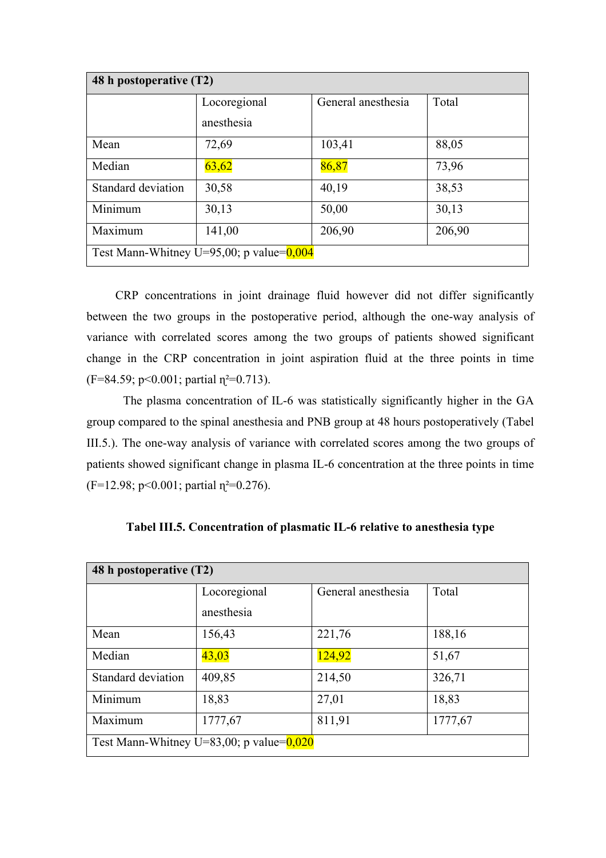| 48 h postoperative (T2)                     |              |                    |        |
|---------------------------------------------|--------------|--------------------|--------|
|                                             | Locoregional | General anesthesia | Total  |
|                                             | anesthesia   |                    |        |
| Mean                                        | 72,69        | 103,41             | 88,05  |
| Median                                      | 63,62        | 86,87              | 73,96  |
| Standard deviation                          | 30,58        | 40,19              | 38,53  |
| Minimum                                     | 30,13        | 50,00              | 30,13  |
| Maximum                                     | 141,00       | 206,90             | 206,90 |
| Test Mann-Whitney U=95,00; p value= $0,004$ |              |                    |        |

CRP concentrations in joint drainage fluid however did not differ significantly between the two groups in the postoperative period, although the one-way analysis of variance with correlated scores among the two groups of patients showed significant change in the CRP concentration in joint aspiration fluid at the three points in time  $(F=84.59; p<0.001; partial \eta^2=0.713).$ 

The plasma concentration of IL-6 was statistically significantly higher in the GA group compared to the spinal anesthesia and PNB group at 48 hours postoperatively (Tabel III.5.). The one-way analysis of variance with correlated scores among the two groups of patients showed significant change in plasma IL-6 concentration at the three points in time  $(F=12.98; p<0.001; partial \eta^2=0.276).$ 

| 48 h postoperative (T2)                     |              |                    |         |
|---------------------------------------------|--------------|--------------------|---------|
|                                             | Locoregional | General anesthesia | Total   |
|                                             | anesthesia   |                    |         |
| Mean                                        | 156,43       | 221,76             | 188,16  |
| Median                                      | 43,03        | 124,92             | 51,67   |
| Standard deviation                          | 409,85       | 214,50             | 326,71  |
| Minimum                                     | 18,83        | 27,01              | 18,83   |
| Maximum                                     | 1777,67      | 811,91             | 1777,67 |
| Test Mann-Whitney U=83,00; p value= $0,020$ |              |                    |         |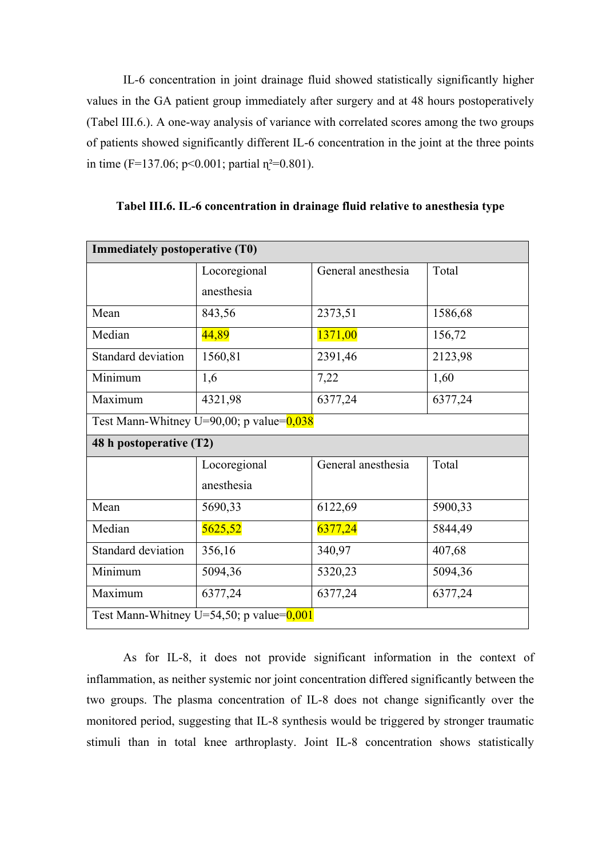IL-6 concentration in joint drainage fluid showed statistically significantly higher values in the GA patient group immediately after surgery and at 48 hours postoperatively (Tabel III.6.). A one-way analysis of variance with correlated scores among the two groups of patients showed significantly different IL-6 concentration in the joint at the three points in time (F=137.06; p<0.001; partial  $\eta^2$ =0.801).

| <b>Immediately postoperative (T0)</b>       |              |                    |         |  |
|---------------------------------------------|--------------|--------------------|---------|--|
|                                             | Locoregional | General anesthesia | Total   |  |
|                                             | anesthesia   |                    |         |  |
| Mean                                        | 843,56       | 2373,51            | 1586,68 |  |
| Median                                      | 44,89        | 1371,00            | 156,72  |  |
| Standard deviation                          | 1560,81      | 2391,46            | 2123,98 |  |
| Minimum                                     | 1,6          | 7,22               | 1,60    |  |
| Maximum                                     | 4321,98      | 6377,24            | 6377,24 |  |
| Test Mann-Whitney U=90,00; p value= $0.038$ |              |                    |         |  |
| 48 h postoperative (T2)                     |              |                    |         |  |
|                                             | Locoregional | General anesthesia | Total   |  |
|                                             | anesthesia   |                    |         |  |
| Mean                                        | 5690,33      | 6122,69            | 5900,33 |  |
| Median                                      | 5625,52      | 6377,24            | 5844,49 |  |
| Standard deviation                          | 356,16       | 340,97             | 407,68  |  |
| Minimum                                     | 5094,36      | 5320,23            | 5094,36 |  |
| Maximum                                     | 6377,24      | 6377,24            | 6377,24 |  |
| Test Mann-Whitney U=54,50; p value= $0,001$ |              |                    |         |  |

**Tabel III.6. IL-6 concentration in drainage fluid relative to anesthesia type**

As for IL-8, it does not provide significant information in the context of inflammation, as neither systemic nor joint concentration differed significantly between the two groups. The plasma concentration of IL-8 does not change significantly over the monitored period, suggesting that IL-8 synthesis would be triggered by stronger traumatic stimuli than in total knee arthroplasty. Joint IL-8 concentration shows statistically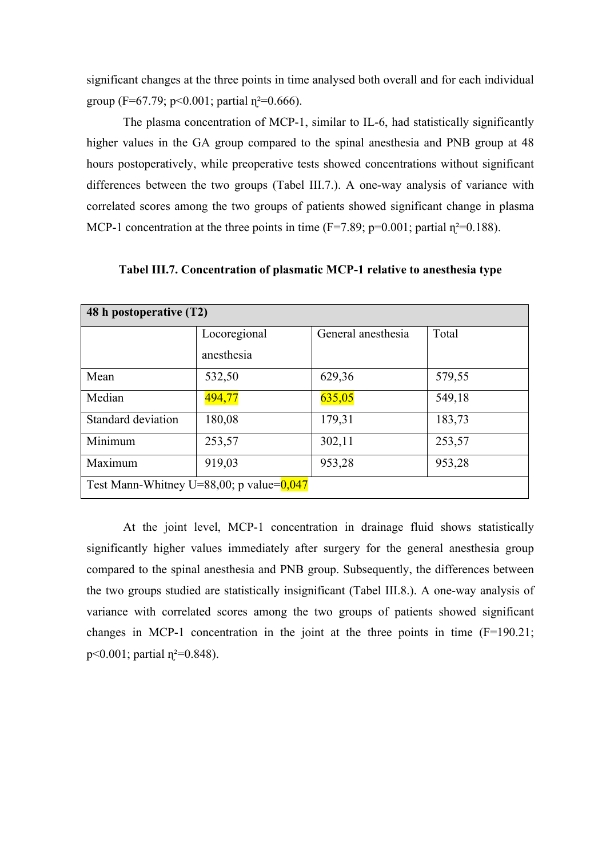significant changes at the three points in time analysed both overall and for each individual group (F=67.79;  $p<0.001$ ; partial  $n^2=0.666$ ).

The plasma concentration of MCP-1, similar to IL-6, had statistically significantly higher values in the GA group compared to the spinal anesthesia and PNB group at 48 hours postoperatively, while preoperative tests showed concentrations without significant differences between the two groups (Tabel III.7.). A one-way analysis of variance with correlated scores among the two groups of patients showed significant change in plasma MCP-1 concentration at the three points in time ( $F=7.89$ ;  $p=0.001$ ; partial  $\eta^2=0.188$ ).

| 48 h postoperative (T2)                     |              |                    |        |
|---------------------------------------------|--------------|--------------------|--------|
|                                             | Locoregional | General anesthesia | Total  |
|                                             | anesthesia   |                    |        |
| Mean                                        | 532,50       | 629,36             | 579,55 |
| Median                                      | 494,77       | 635,05             | 549,18 |
| <b>Standard deviation</b>                   | 180,08       | 179,31             | 183,73 |
| Minimum                                     | 253,57       | 302,11             | 253,57 |
| Maximum                                     | 919,03       | 953,28             | 953,28 |
| Test Mann-Whitney U=88,00; p value= $0,047$ |              |                    |        |

**Tabel III.7. Concentration of plasmatic MCP-1 relative to anesthesia type**

At the joint level, MCP-1 concentration in drainage fluid shows statistically significantly higher values immediately after surgery for the general anesthesia group compared to the spinal anesthesia and PNB group. Subsequently, the differences between the two groups studied are statistically insignificant (Tabel III.8.). A one-way analysis of variance with correlated scores among the two groups of patients showed significant changes in MCP-1 concentration in the joint at the three points in time  $(F=190.21;$  $p \le 0.001$ ; partial  $n^2 = 0.848$ ).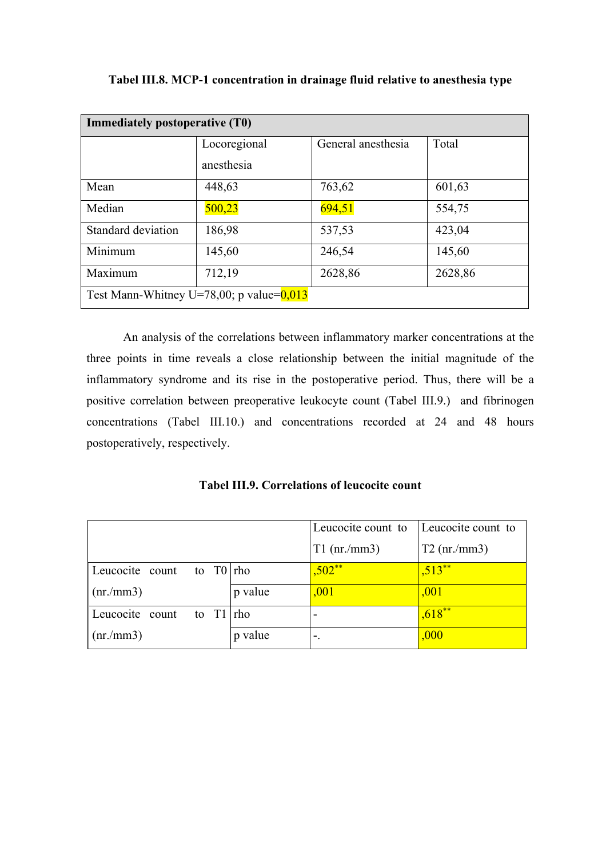| Immediately postoperative (T0)              |              |                    |         |
|---------------------------------------------|--------------|--------------------|---------|
|                                             | Locoregional | General anesthesia | Total   |
|                                             | anesthesia   |                    |         |
| Mean                                        | 448,63       | 763,62             | 601,63  |
| Median                                      | 500,23       | 694,51             | 554,75  |
| Standard deviation                          | 186,98       | 537,53             | 423,04  |
| Minimum                                     | 145,60       | 246,54             | 145,60  |
| Maximum                                     | 712,19       | 2628,86            | 2628,86 |
| Test Mann-Whitney U=78,00; p value= $0.013$ |              |                    |         |

**Tabel III.8. MCP-1 concentration in drainage fluid relative to anesthesia type**

An analysis of the correlations between inflammatory marker concentrations at the three points in time reveals a close relationship between the initial magnitude of the inflammatory syndrome and its rise in the postoperative period. Thus, there will be a positive correlation between preoperative leukocyte count (Tabel III.9.) and fibrinogen concentrations (Tabel III.10.) and concentrations recorded at 24 and 48 hours postoperatively, respectively.

**Tabel III.9. Correlations of leucocite count** 

|                                |         | Leucocite count to | Leucocite count to |
|--------------------------------|---------|--------------------|--------------------|
|                                |         | $T1$ (nr./mm3)     | $T2$ (nr./mm3)     |
| Leucocite count to $T0  $ rho  |         | $,502**$           | $.513**$           |
| $\ln(m/mm^2)$                  | p value | ,001               | ,001               |
| Leucocite count<br>to $T1 rho$ |         |                    | $,618**$           |
| $\ln(m/mm^3)$                  | p value | $\mathbf{L}$       | ,000               |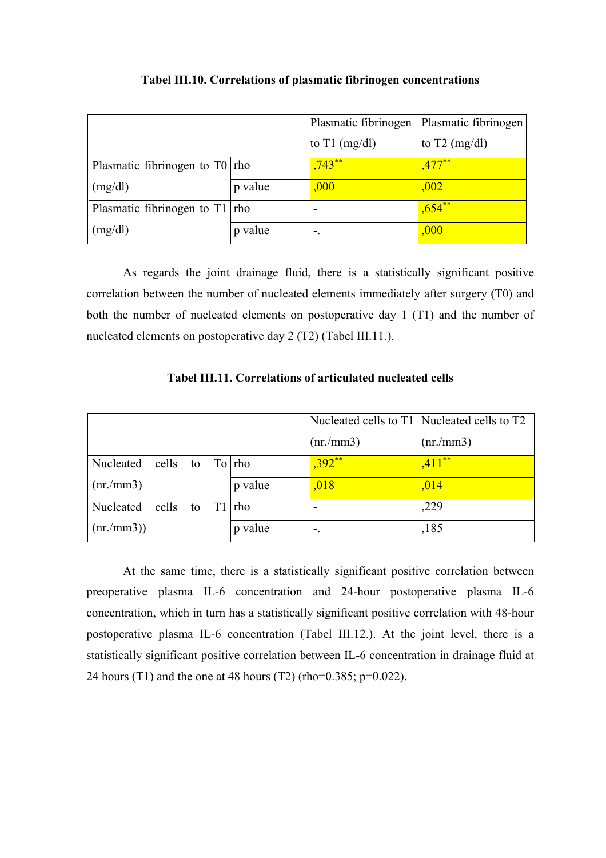|                                    |         | Plasmatic fibrinogen | Plasmatic fibrinogen    |
|------------------------------------|---------|----------------------|-------------------------|
|                                    |         | to $T1$ (mg/dl)      | to $T2 \text{ (mg/dl)}$ |
| Plasmatic fibrinogen to $T0$   rho |         | $,743**$             | $.477***$               |
| $\lfloor$ (mg/dl)                  | p value | ,000                 | ,002                    |
| Plasmatic fibrinogen to $T1$   rho |         | -                    | $,654^{**}$             |
| $\log/dl$                          | p value | -.                   | ,000                    |

#### **Tabel III.10. Correlations of plasmatic fibrinogen concentrations**

As regards the joint drainage fluid, there is a statistically significant positive correlation between the number of nucleated elements immediately after surgery (T0) and both the number of nucleated elements on postoperative day 1 (T1) and the number of nucleated elements on postoperative day 2 (T2) (Tabel III.11.).

|                                                     |  |         |          | Nucleated cells to T1 Nucleated cells to T2 |
|-----------------------------------------------------|--|---------|----------|---------------------------------------------|
|                                                     |  |         | (nr/mm3) | $(nr/\text{mm}3)$                           |
| $\blacksquare$ Nucleated cells to To $\blacksquare$ |  |         | $,392**$ | $,411***$                                   |
| $\ln(m/mm^2)$                                       |  | p value | ,018     | ,014                                        |
| $\blacksquare$ Nucleated cells to T1 $\blacksquare$ |  |         |          | ,229                                        |
| (nr/mm3))                                           |  | p value | ۰.       | ,185                                        |

**Tabel III.11. Correlations of articulated nucleated cells**

At the same time, there is a statistically significant positive correlation between preoperative plasma IL-6 concentration and 24-hour postoperative plasma IL-6 concentration, which in turn has a statistically significant positive correlation with 48-hour postoperative plasma IL-6 concentration (Tabel III.12.). At the joint level, there is a statistically significant positive correlation between IL-6 concentration in drainage fluid at 24 hours (T1) and the one at 48 hours (T2) (rho=0.385; p=0.022).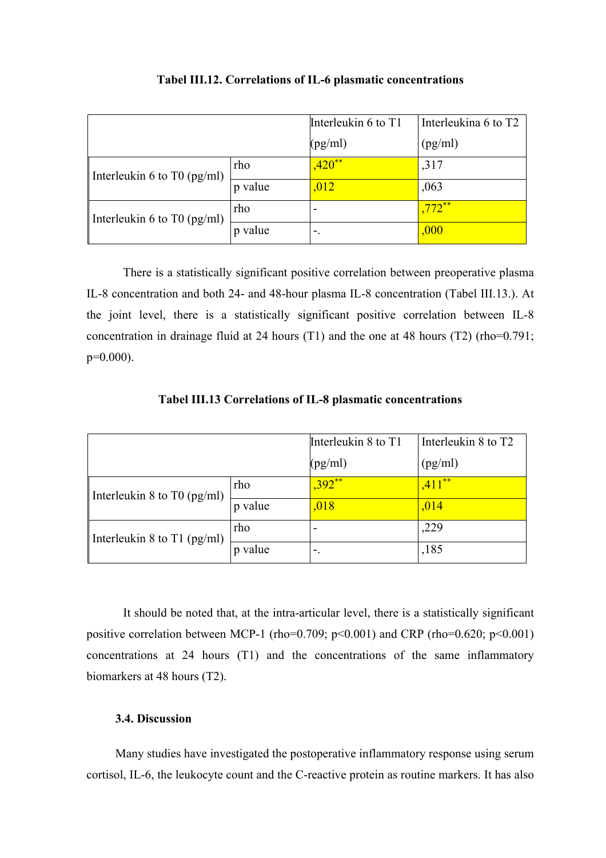|                             |         | Interleukin 6 to T1 | Interleukina 6 to T2 |
|-----------------------------|---------|---------------------|----------------------|
|                             |         | (pg/ml)             | (pg/ml)              |
| Interleukin 6 to T0 (pg/ml) | rho     | $.420**$            | ,317                 |
|                             | p value | ,012                | ,063                 |
| Interleukin 6 to T0 (pg/ml) | rho     |                     | $.772**$             |
|                             | value   | ٠.                  | ,000                 |

#### **Tabel III.12. Correlations of IL-6 plasmatic concentrations**

There is a statistically significant positive correlation between preoperative plasma IL-8 concentration and both 24- and 48-hour plasma IL-8 concentration (Tabel III.13.). At the joint level, there is a statistically significant positive correlation between IL-8 concentration in drainage fluid at 24 hours (T1) and the one at 48 hours (T2) (rho=0.791;  $p=0.000$ ).

|                             |            | Interleukin 8 to T1 | Interleukin 8 to T2 |
|-----------------------------|------------|---------------------|---------------------|
|                             |            | (pg/ml)             | (pg/ml)             |
| Interleukin 8 to T0 (pg/ml) | rho        | $,392**$            | $-4.411**$          |
|                             | p value    | ,018                | ,014                |
| Interleukin 8 to T1 (pg/ml) | rho        |                     | ,229                |
|                             | value<br>D |                     | ,185                |

**Tabel III.13 Correlations of IL-8 plasmatic concentrations**

It should be noted that, at the intra-articular level, there is a statistically significant positive correlation between MCP-1 (rho=0.709; p<0.001) and CRP (rho=0.620; p<0.001) concentrations at 24 hours (T1) and the concentrations of the same inflammatory biomarkers at 48 hours (T2).

### **3.4. Discussion**

Many studies have investigated the postoperative inflammatory response using serum cortisol, IL-6, the leukocyte count and the C-reactive protein as routine markers. It has also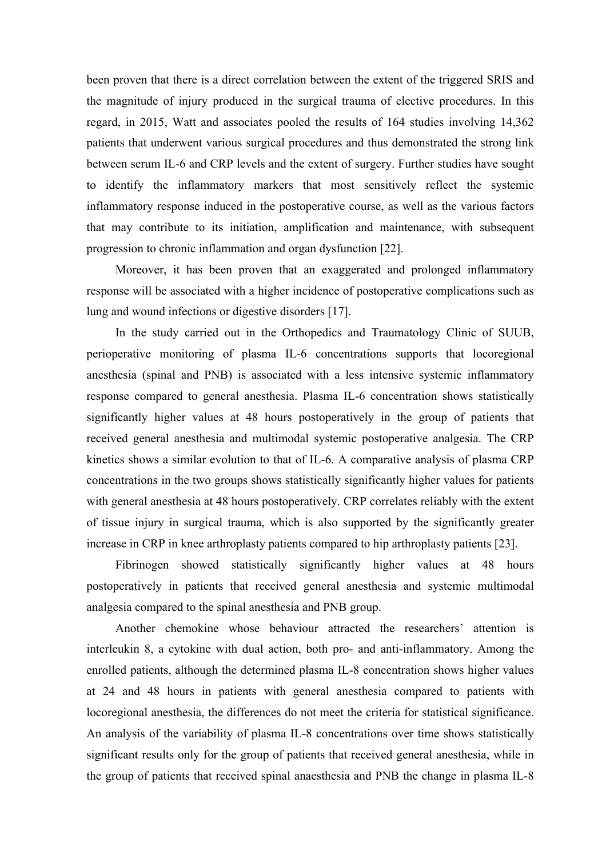been proven that there is a direct correlation between the extent of the triggered SRIS and the magnitude of injury produced in the surgical trauma of elective procedures. In this regard, in 2015, Watt and associates pooled the results of 164 studies involving 14,362 patients that underwent various surgical procedures and thus demonstrated the strong link between serum IL-6 and CRP levels and the extent of surgery. Further studies have sought to identify the inflammatory markers that most sensitively reflect the systemic inflammatory response induced in the postoperative course, as well as the various factors that may contribute to its initiation, amplification and maintenance, with subsequent progression to chronic inflammation and organ dysfunction [22].

Moreover, it has been proven that an exaggerated and prolonged inflammatory response will be associated with a higher incidence of postoperative complications such as lung and wound infections or digestive disorders [17].

In the study carried out in the Orthopedics and Traumatology Clinic of SUUB, perioperative monitoring of plasma IL-6 concentrations supports that locoregional anesthesia (spinal and PNB) is associated with a less intensive systemic inflammatory response compared to general anesthesia. Plasma IL-6 concentration shows statistically significantly higher values at 48 hours postoperatively in the group of patients that received general anesthesia and multimodal systemic postoperative analgesia. The CRP kinetics shows a similar evolution to that of IL-6. A comparative analysis of plasma CRP concentrations in the two groups shows statistically significantly higher values for patients with general anesthesia at 48 hours postoperatively. CRP correlates reliably with the extent of tissue injury in surgical trauma, which is also supported by the significantly greater increase in CRP in knee arthroplasty patients compared to hip arthroplasty patients [23].

Fibrinogen showed statistically significantly higher values at 48 hours postoperatively in patients that received general anesthesia and systemic multimodal analgesia compared to the spinal anesthesia and PNB group.

Another chemokine whose behaviour attracted the researchers' attention is interleukin 8, a cytokine with dual action, both pro- and anti-inflammatory. Among the enrolled patients, although the determined plasma IL-8 concentration shows higher values at 24 and 48 hours in patients with general anesthesia compared to patients with locoregional anesthesia, the differences do not meet the criteria for statistical significance. An analysis of the variability of plasma IL-8 concentrations over time shows statistically significant results only for the group of patients that received general anesthesia, while in the group of patients that received spinal anaesthesia and PNB the change in plasma IL-8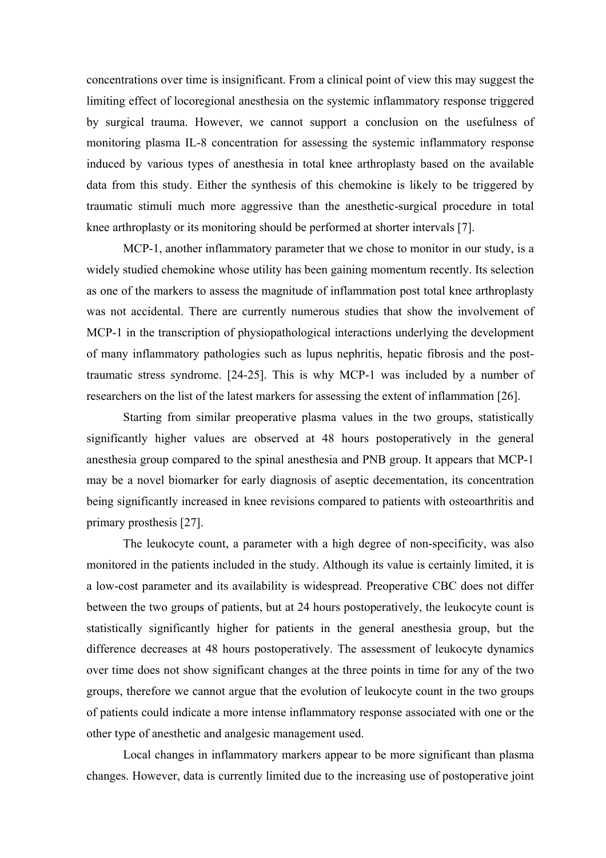concentrations over time is insignificant. From a clinical point of view this may suggest the limiting effect of locoregional anesthesia on the systemic inflammatory response triggered by surgical trauma. However, we cannot support a conclusion on the usefulness of monitoring plasma IL-8 concentration for assessing the systemic inflammatory response induced by various types of anesthesia in total knee arthroplasty based on the available data from this study. Either the synthesis of this chemokine is likely to be triggered by traumatic stimuli much more aggressive than the anesthetic-surgical procedure in total knee arthroplasty or its monitoring should be performed at shorter intervals [7].

MCP-1, another inflammatory parameter that we chose to monitor in our study, is a widely studied chemokine whose utility has been gaining momentum recently. Its selection as one of the markers to assess the magnitude of inflammation post total knee arthroplasty was not accidental. There are currently numerous studies that show the involvement of MCP-1 in the transcription of physiopathological interactions underlying the development of many inflammatory pathologies such as lupus nephritis, hepatic fibrosis and the posttraumatic stress syndrome. [24-25]. This is why MCP-1 was included by a number of researchers on the list of the latest markers for assessing the extent of inflammation [26].

Starting from similar preoperative plasma values in the two groups, statistically significantly higher values are observed at 48 hours postoperatively in the general anesthesia group compared to the spinal anesthesia and PNB group. It appears that MCP-1 may be a novel biomarker for early diagnosis of aseptic decementation, its concentration being significantly increased in knee revisions compared to patients with osteoarthritis and primary prosthesis [27].

The leukocyte count, a parameter with a high degree of non-specificity, was also monitored in the patients included in the study. Although its value is certainly limited, it is a low-cost parameter and its availability is widespread. Preoperative CBC does not differ between the two groups of patients, but at 24 hours postoperatively, the leukocyte count is statistically significantly higher for patients in the general anesthesia group, but the difference decreases at 48 hours postoperatively. The assessment of leukocyte dynamics over time does not show significant changes at the three points in time for any of the two groups, therefore we cannot argue that the evolution of leukocyte count in the two groups of patients could indicate a more intense inflammatory response associated with one or the other type of anesthetic and analgesic management used.

Local changes in inflammatory markers appear to be more significant than plasma changes. However, data is currently limited due to the increasing use of postoperative joint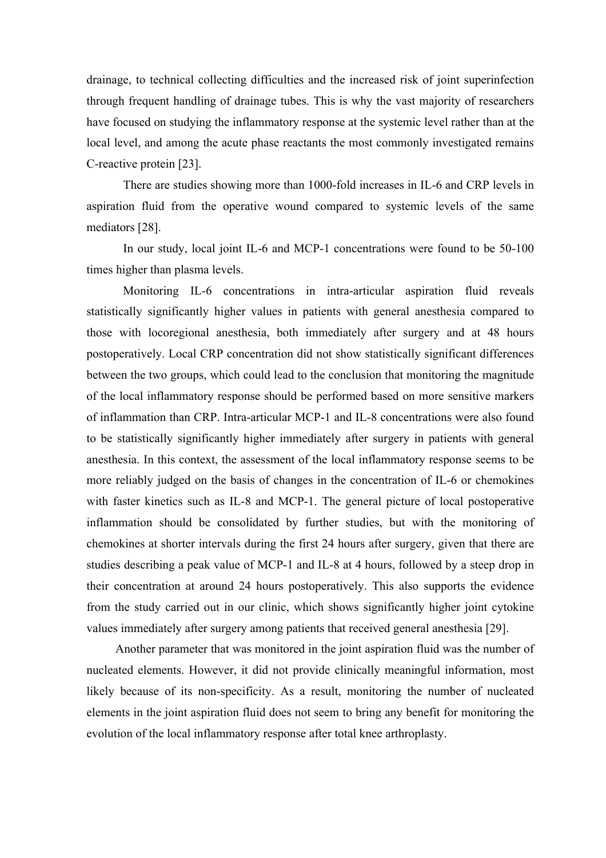drainage, to technical collecting difficulties and the increased risk of joint superinfection through frequent handling of drainage tubes. This is why the vast majority of researchers have focused on studying the inflammatory response at the systemic level rather than at the local level, and among the acute phase reactants the most commonly investigated remains C-reactive protein [23].

There are studies showing more than 1000-fold increases in IL-6 and CRP levels in aspiration fluid from the operative wound compared to systemic levels of the same mediators [28].

In our study, local joint IL-6 and MCP-1 concentrations were found to be 50-100 times higher than plasma levels.

Monitoring IL-6 concentrations in intra-articular aspiration fluid reveals statistically significantly higher values in patients with general anesthesia compared to those with locoregional anesthesia, both immediately after surgery and at 48 hours postoperatively. Local CRP concentration did not show statistically significant differences between the two groups, which could lead to the conclusion that monitoring the magnitude of the local inflammatory response should be performed based on more sensitive markers of inflammation than CRP. Intra-articular MCP-1 and IL-8 concentrations were also found to be statistically significantly higher immediately after surgery in patients with general anesthesia. In this context, the assessment of the local inflammatory response seems to be more reliably judged on the basis of changes in the concentration of IL-6 or chemokines with faster kinetics such as IL-8 and MCP-1. The general picture of local postoperative inflammation should be consolidated by further studies, but with the monitoring of chemokines at shorter intervals during the first 24 hours after surgery, given that there are studies describing a peak value of MCP-1 and IL-8 at 4 hours, followed by a steep drop in their concentration at around 24 hours postoperatively. This also supports the evidence from the study carried out in our clinic, which shows significantly higher joint cytokine values immediately after surgery among patients that received general anesthesia [29].

Another parameter that was monitored in the joint aspiration fluid was the number of nucleated elements. However, it did not provide clinically meaningful information, most likely because of its non-specificity. As a result, monitoring the number of nucleated elements in the joint aspiration fluid does not seem to bring any benefit for monitoring the evolution of the local inflammatory response after total knee arthroplasty.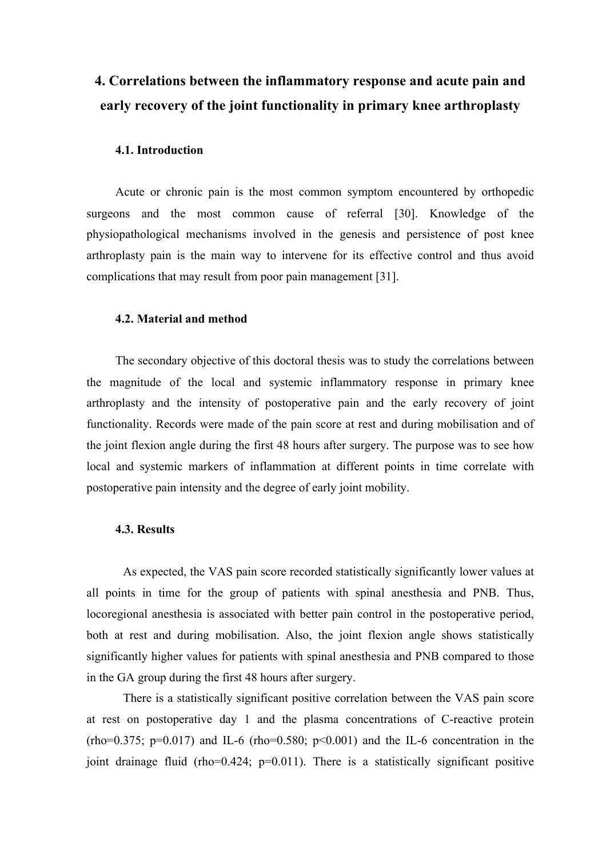# **4. Correlations between the inflammatory response and acute pain and early recovery of the joint functionality in primary knee arthroplasty**

#### **4.1. Introduction**

Acute or chronic pain is the most common symptom encountered by orthopedic surgeons and the most common cause of referral [30]. Knowledge of the physiopathological mechanisms involved in the genesis and persistence of post knee arthroplasty pain is the main way to intervene for its effective control and thus avoid complications that may result from poor pain management [31].

#### **4.2. Material and method**

The secondary objective of this doctoral thesis was to study the correlations between the magnitude of the local and systemic inflammatory response in primary knee arthroplasty and the intensity of postoperative pain and the early recovery of joint functionality. Records were made of the pain score at rest and during mobilisation and of the joint flexion angle during the first 48 hours after surgery. The purpose was to see how local and systemic markers of inflammation at different points in time correlate with postoperative pain intensity and the degree of early joint mobility.

#### **4.3. Results**

As expected, the VAS pain score recorded statistically significantly lower values at all points in time for the group of patients with spinal anesthesia and PNB. Thus, locoregional anesthesia is associated with better pain control in the postoperative period, both at rest and during mobilisation. Also, the joint flexion angle shows statistically significantly higher values for patients with spinal anesthesia and PNB compared to those in the GA group during the first 48 hours after surgery.

There is a statistically significant positive correlation between the VAS pain score at rest on postoperative day 1 and the plasma concentrations of C-reactive protein  $(rho=0.375; p=0.017)$  and IL-6  $(rho=0.580; p<0.001)$  and the IL-6 concentration in the joint drainage fluid (rho=0.424; p=0.011). There is a statistically significant positive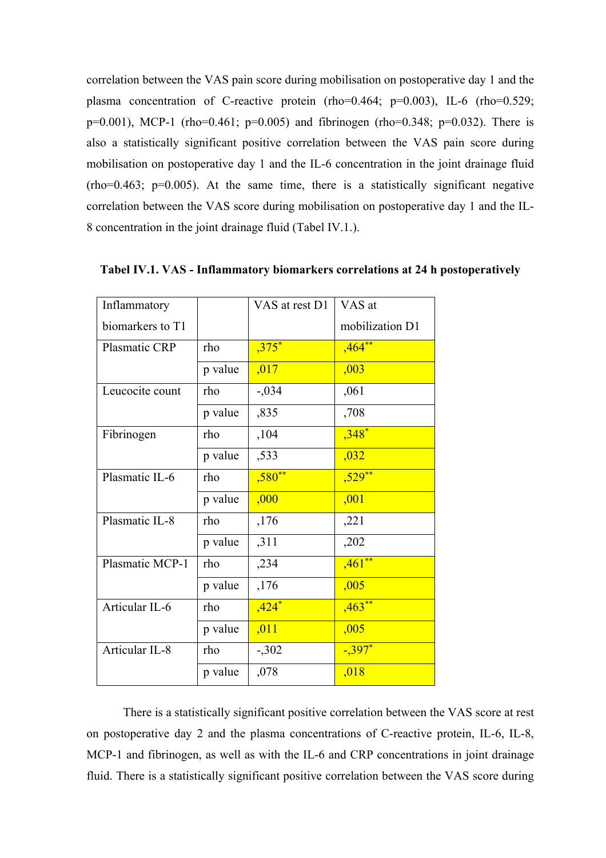correlation between the VAS pain score during mobilisation on postoperative day 1 and the plasma concentration of C-reactive protein (rho=0.464; p=0.003), IL-6 (rho=0.529;  $p=0.001$ ), MCP-1 (rho=0.461;  $p=0.005$ ) and fibrinogen (rho=0.348;  $p=0.032$ ). There is also a statistically significant positive correlation between the VAS pain score during mobilisation on postoperative day 1 and the IL-6 concentration in the joint drainage fluid  $(rho=0.463; p=0.005)$ . At the same time, there is a statistically significant negative correlation between the VAS score during mobilisation on postoperative day 1 and the IL-8 concentration in the joint drainage fluid (Tabel IV.1.).

| Inflammatory         |         | VAS at rest D1 | VAS at          |
|----------------------|---------|----------------|-----------------|
| biomarkers to T1     |         |                | mobilization D1 |
| <b>Plasmatic CRP</b> | rho     | $,375*$        | $,464***$       |
|                      | p value | ,017           | ,003            |
| Leucocite count      | rho     | $-.034$        | ,061            |
|                      | p value | ,835           | ,708            |
| Fibrinogen           | rho     | ,104           | $,348^*$        |
|                      | p value | ,533           | ,032            |
| Plasmatic IL-6       | rho     | $,580**$       | $,529**$        |
|                      | p value | ,000           | ,001            |
| Plasmatic IL-8       | rho     | ,176           | ,221            |
|                      | p value | ,311           | ,202            |
| Plasmatic MCP-1      | rho     | ,234           | $,461**$        |
|                      | p value | ,176           | ,005            |
| Articular IL-6       | rho     | $,424*$        | ,463            |
|                      | p value | ,011           | ,005            |
| Articular IL-8       | rho     | $-302$         | $-397$ *        |
|                      | p value | ,078           | ,018            |

**Tabel IV.1. VAS - Inflammatory biomarkers correlations at 24 h postoperatively**

There is a statistically significant positive correlation between the VAS score at rest on postoperative day 2 and the plasma concentrations of C-reactive protein, IL-6, IL-8, MCP-1 and fibrinogen, as well as with the IL-6 and CRP concentrations in joint drainage fluid. There is a statistically significant positive correlation between the VAS score during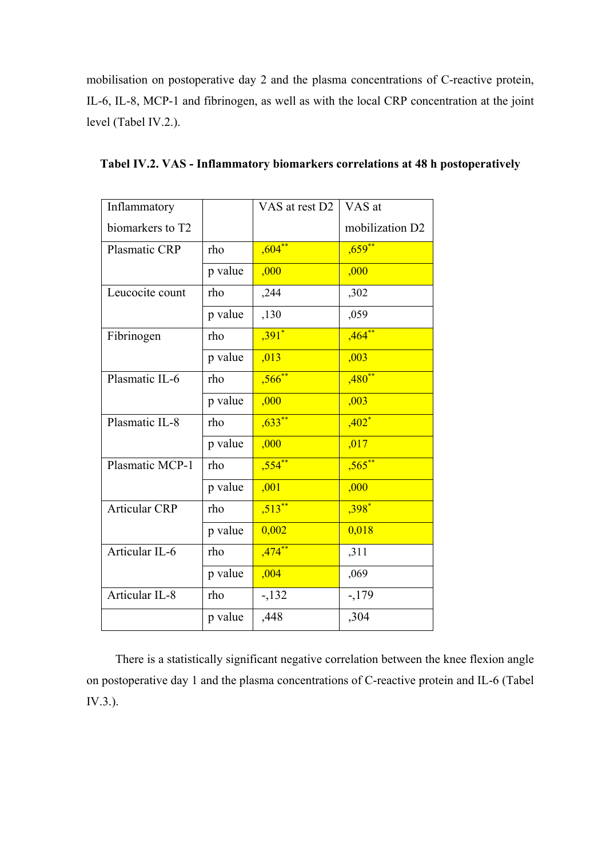mobilisation on postoperative day 2 and the plasma concentrations of C-reactive protein, IL-6, IL-8, MCP-1 and fibrinogen, as well as with the local CRP concentration at the joint level (Tabel IV.2.).

| Inflammatory         |         | VAS at rest D2       | VAS at          |
|----------------------|---------|----------------------|-----------------|
| biomarkers to T2     |         |                      | mobilization D2 |
| Plasmatic CRP        | rho     | ,604                 | $,659$ **       |
|                      | p value | ,000                 | ,000            |
| Leucocite count      | rho     | ,244                 | ,302            |
|                      | p value | ,130                 | ,059            |
| Fibrinogen           | rho     | $,391$ *             | $,464**$        |
|                      | p value | ,013                 | ,003            |
| Plasmatic IL-6       | rho     | $,566^{**}$          | $,480**$        |
|                      | p value | ,000                 | ,003            |
| Plasmatic IL-8       | rho     | $,633**$             | $,402*$         |
|                      | p value | ,000                 | ,017            |
| Plasmatic MCP-1      | rho     | $,554$ **            | $,565$ **       |
|                      | p value | ,001                 | ,000            |
| <b>Articular CRP</b> | rho     | $,513$ <sup>**</sup> | $,398*$         |
|                      | p value | 0,002                | 0,018           |
| Articular IL-6       | rho     | $,474***$            | ,311            |
|                      | p value | ,004                 | ,069            |
| Articular IL-8       | rho     | $-132$               | $-179$          |
|                      | p value | ,448                 | ,304            |

**Tabel IV.2. VAS - Inflammatory biomarkers correlations at 48 h postoperatively**

There is a statistically significant negative correlation between the knee flexion angle on postoperative day 1 and the plasma concentrations of C-reactive protein and IL-6 (Tabel IV.3.).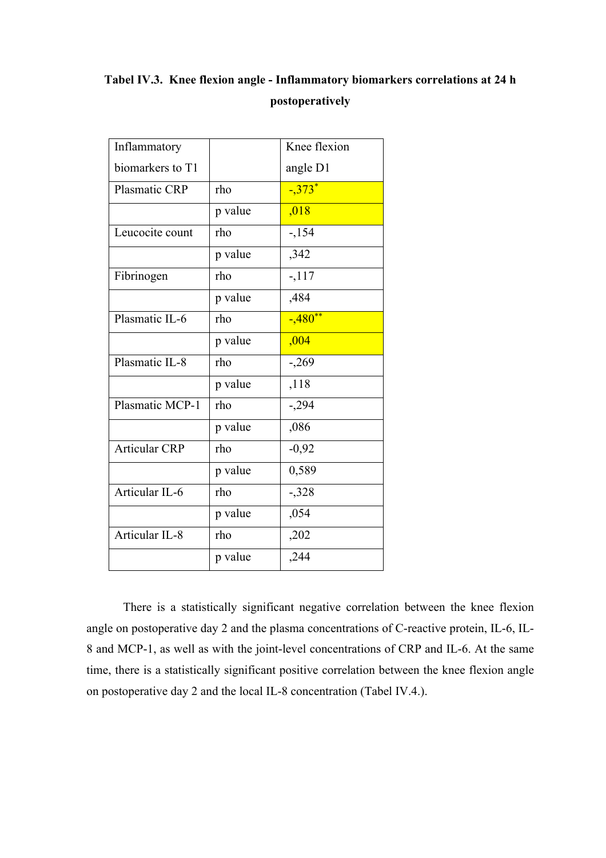## **Tabel IV.3. Knee flexion angle - Inflammatory biomarkers correlations at 24 h postoperatively**

| Inflammatory         |         | Knee flexion |
|----------------------|---------|--------------|
| biomarkers to T1     |         | angle D1     |
| Plasmatic CRP        | rho     | $-373*$      |
|                      | p value | ,018         |
| Leucocite count      | rho     | $-154$       |
|                      | p value | ,342         |
| Fibrinogen           | rho     | $-117$       |
|                      | p value | ,484         |
| Plasmatic IL-6       | rho     | $-.480**$    |
|                      | p value | ,004         |
| Plasmatic IL-8       | rho     | $-269$       |
|                      | p value | ,118         |
| Plasmatic MCP-1      | rho     | $-294$       |
|                      | p value | ,086         |
| <b>Articular CRP</b> | rho     | $-0,92$      |
|                      | p value | 0,589        |
| Articular IL- $6$    | rho     | $-328$       |
|                      | p value | ,054         |
| Articular IL-8       | rho     | ,202         |
|                      | p value | ,244         |

There is a statistically significant negative correlation between the knee flexion angle on postoperative day 2 and the plasma concentrations of C-reactive protein, IL-6, IL-8 and MCP-1, as well as with the joint-level concentrations of CRP and IL-6. At the same time, there is a statistically significant positive correlation between the knee flexion angle on postoperative day 2 and the local IL-8 concentration (Tabel IV.4.).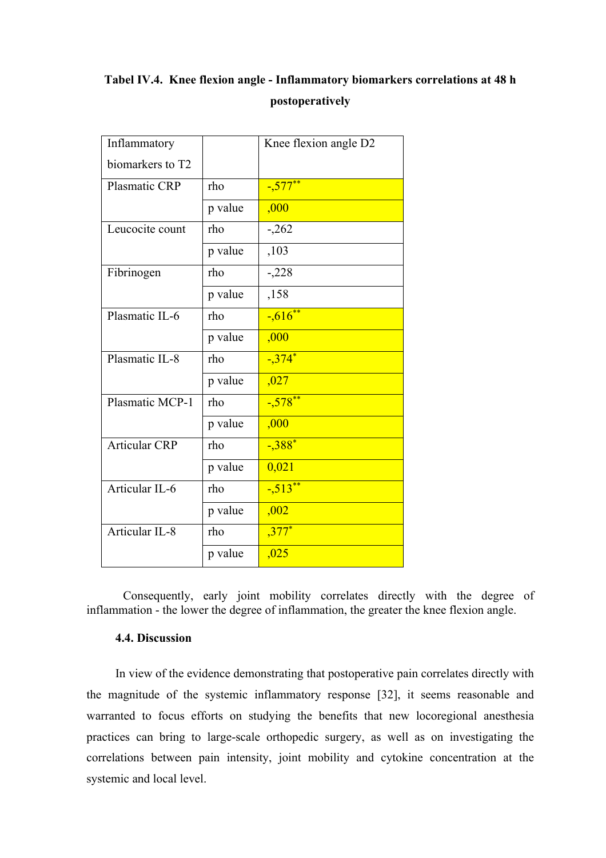## **Tabel IV.4. Knee flexion angle - Inflammatory biomarkers correlations at 48 h postoperatively**

| Inflammatory         |         | Knee flexion angle D2 |
|----------------------|---------|-----------------------|
| biomarkers to T2     |         |                       |
| Plasmatic CRP        | rho     | $-577***$             |
|                      | p value | ,000                  |
| Leucocite count      | rho     | $-.262$               |
|                      | p value | ,103                  |
| Fibrinogen           | rho     | $-.228$               |
|                      | p value | ,158                  |
| Plasmatic IL-6       | rho     | $-616$                |
|                      | p value | ,000                  |
| Plasmatic IL-8       | rho     | $-374$ <sup>*</sup>   |
|                      | p value | ,027                  |
| Plasmatic MCP-1      | rho     | $-578**$              |
|                      | p value | ,000                  |
| <b>Articular CRP</b> | rho     | $-.388*$              |
|                      | p value | 0,021                 |
| Articular IL-6       | rho     | $-513**$              |
|                      | p value | ,002                  |
| Articular IL-8       | rho     | $,377*$               |
|                      | p value | ,025                  |

Consequently, early joint mobility correlates directly with the degree of inflammation - the lower the degree of inflammation, the greater the knee flexion angle.

### **4.4. Discussion**

In view of the evidence demonstrating that postoperative pain correlates directly with the magnitude of the systemic inflammatory response [32], it seems reasonable and warranted to focus efforts on studying the benefits that new locoregional anesthesia practices can bring to large-scale orthopedic surgery, as well as on investigating the correlations between pain intensity, joint mobility and cytokine concentration at the systemic and local level.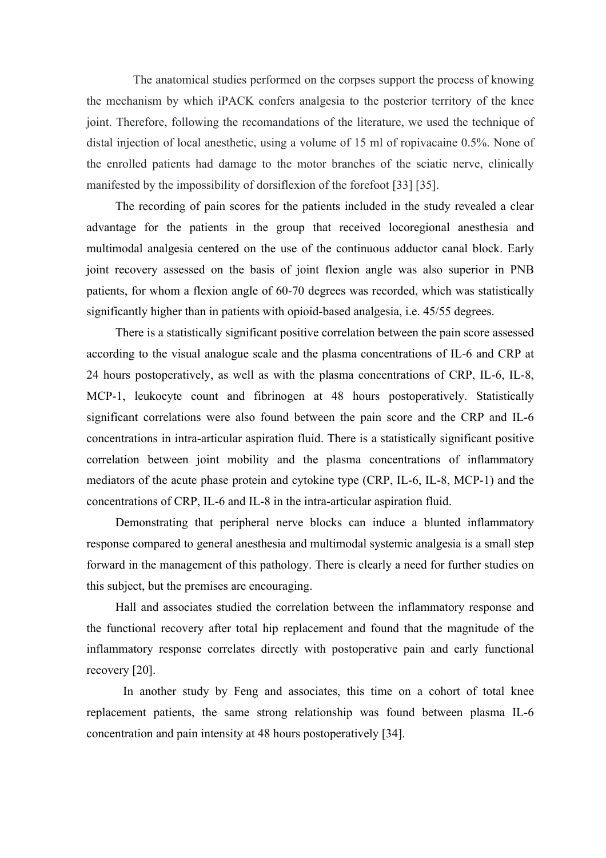The anatomical studies performed on the corpses support the process of knowing the mechanism by which iPACK confers analgesia to the posterior territory of the knee joint. Therefore, following the recomandations of the literature, we used the technique of distal injection of local anesthetic, using a volume of 15 ml of ropivacaine 0.5%. None of the enrolled patients had damage to the motor branches of the sciatic nerve, clinically manifested by the impossibility of dorsiflexion of the forefoot [33] [35].

The recording of pain scores for the patients included in the study revealed a clear advantage for the patients in the group that received locoregional anesthesia and multimodal analgesia centered on the use of the continuous adductor canal block. Early joint recovery assessed on the basis of joint flexion angle was also superior in PNB patients, for whom a flexion angle of 60-70 degrees was recorded, which was statistically significantly higher than in patients with opioid-based analgesia, i.e. 45/55 degrees.

There is a statistically significant positive correlation between the pain score assessed according to the visual analogue scale and the plasma concentrations of IL-6 and CRP at 24 hours postoperatively, as well as with the plasma concentrations of CRP, IL-6, IL-8, MCP-1, leukocyte count and fibrinogen at 48 hours postoperatively. Statistically significant correlations were also found between the pain score and the CRP and IL-6 concentrations in intra-articular aspiration fluid. There is a statistically significant positive correlation between joint mobility and the plasma concentrations of inflammatory mediators of the acute phase protein and cytokine type (CRP, IL-6, IL-8, MCP-1) and the concentrations of CRP, IL-6 and IL-8 in the intra-articular aspiration fluid.

Demonstrating that peripheral nerve blocks can induce a blunted inflammatory response compared to general anesthesia and multimodal systemic analgesia is a small step forward in the management of this pathology. There is clearly a need for further studies on this subject, but the premises are encouraging.

Hall and associates studied the correlation between the inflammatory response and the functional recovery after total hip replacement and found that the magnitude of the inflammatory response correlates directly with postoperative pain and early functional recovery [20].

In another study by Feng and associates, this time on a cohort of total knee replacement patients, the same strong relationship was found between plasma IL-6 concentration and pain intensity at 48 hours postoperatively [34].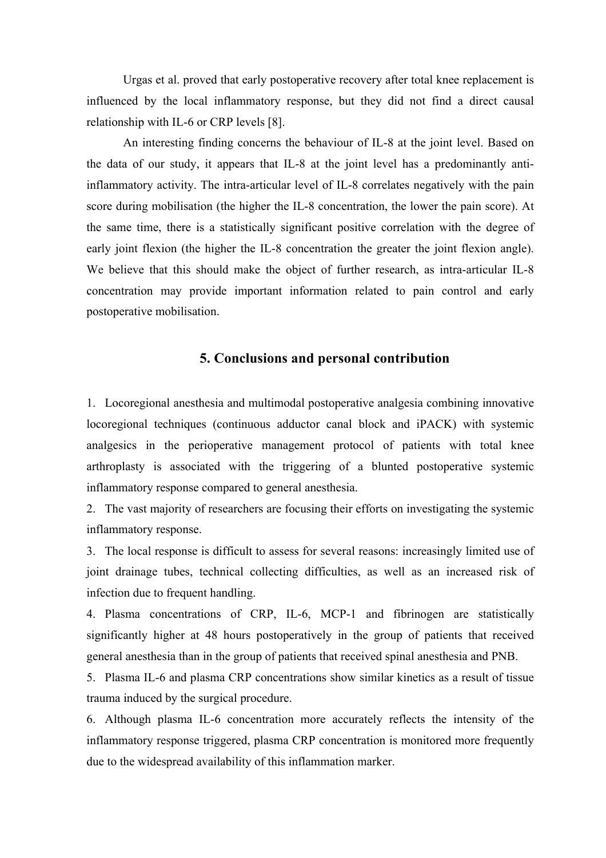Urgas et al. proved that early postoperative recovery after total knee replacement is influenced by the local inflammatory response, but they did not find a direct causal relationship with IL-6 or CRP levels [8].

An interesting finding concerns the behaviour of IL-8 at the joint level. Based on the data of our study, it appears that IL-8 at the joint level has a predominantly antiinflammatory activity. The intra-articular level of IL-8 correlates negatively with the pain score during mobilisation (the higher the IL-8 concentration, the lower the pain score). At the same time, there is a statistically significant positive correlation with the degree of early joint flexion (the higher the IL-8 concentration the greater the joint flexion angle). We believe that this should make the object of further research, as intra-articular IL-8 concentration may provide important information related to pain control and early postoperative mobilisation.

## **5. Conclusions and personal contribution**

1. Locoregional anesthesia and multimodal postoperative analgesia combining innovative locoregional techniques (continuous adductor canal block and iPACK) with systemic analgesics in the perioperative management protocol of patients with total knee arthroplasty is associated with the triggering of a blunted postoperative systemic inflammatory response compared to general anesthesia.

2. The vast majority of researchers are focusing their efforts on investigating the systemic inflammatory response.

3. The local response is difficult to assess for several reasons: increasingly limited use of joint drainage tubes, technical collecting difficulties, as well as an increased risk of infection due to frequent handling.

4. Plasma concentrations of CRP, IL-6, MCP-1 and fibrinogen are statistically significantly higher at 48 hours postoperatively in the group of patients that received general anesthesia than in the group of patients that received spinal anesthesia and PNB.

5. Plasma IL-6 and plasma CRP concentrations show similar kinetics as a result of tissue trauma induced by the surgical procedure.

6. Although plasma IL-6 concentration more accurately reflects the intensity of the inflammatory response triggered, plasma CRP concentration is monitored more frequently due to the widespread availability of this inflammation marker.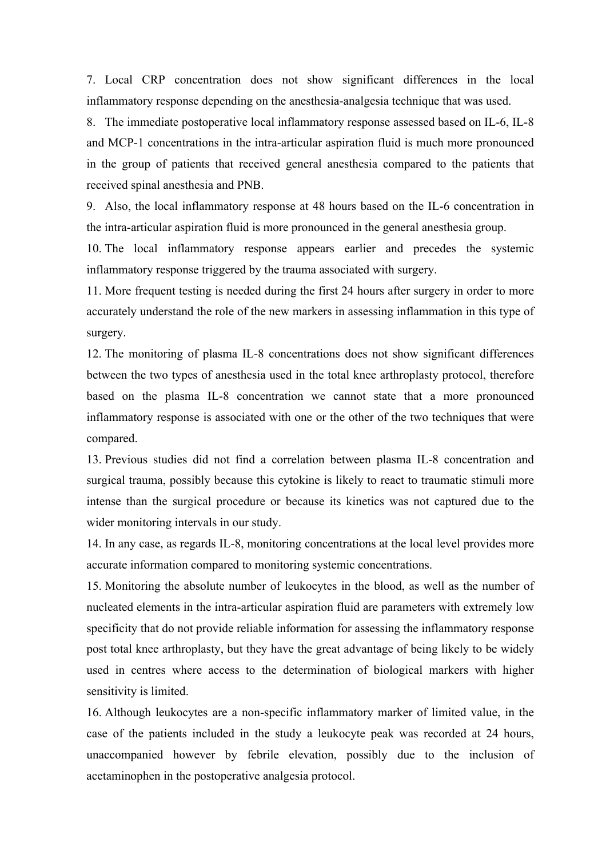7. Local CRP concentration does not show significant differences in the local inflammatory response depending on the anesthesia-analgesia technique that was used.

8. The immediate postoperative local inflammatory response assessed based on IL-6, IL-8 and MCP-1 concentrations in the intra-articular aspiration fluid is much more pronounced in the group of patients that received general anesthesia compared to the patients that received spinal anesthesia and PNB.

9. Also, the local inflammatory response at 48 hours based on the IL-6 concentration in the intra-articular aspiration fluid is more pronounced in the general anesthesia group.

10. The local inflammatory response appears earlier and precedes the systemic inflammatory response triggered by the trauma associated with surgery.

11. More frequent testing is needed during the first 24 hours after surgery in order to more accurately understand the role of the new markers in assessing inflammation in this type of surgery.

12. The monitoring of plasma IL-8 concentrations does not show significant differences between the two types of anesthesia used in the total knee arthroplasty protocol, therefore based on the plasma IL-8 concentration we cannot state that a more pronounced inflammatory response is associated with one or the other of the two techniques that were compared.

13. Previous studies did not find a correlation between plasma IL-8 concentration and surgical trauma, possibly because this cytokine is likely to react to traumatic stimuli more intense than the surgical procedure or because its kinetics was not captured due to the wider monitoring intervals in our study.

14. In any case, as regards IL-8, monitoring concentrations at the local level provides more accurate information compared to monitoring systemic concentrations.

15. Monitoring the absolute number of leukocytes in the blood, as well as the number of nucleated elements in the intra-articular aspiration fluid are parameters with extremely low specificity that do not provide reliable information for assessing the inflammatory response post total knee arthroplasty, but they have the great advantage of being likely to be widely used in centres where access to the determination of biological markers with higher sensitivity is limited.

16. Although leukocytes are a non-specific inflammatory marker of limited value, in the case of the patients included in the study a leukocyte peak was recorded at 24 hours, unaccompanied however by febrile elevation, possibly due to the inclusion of acetaminophen in the postoperative analgesia protocol.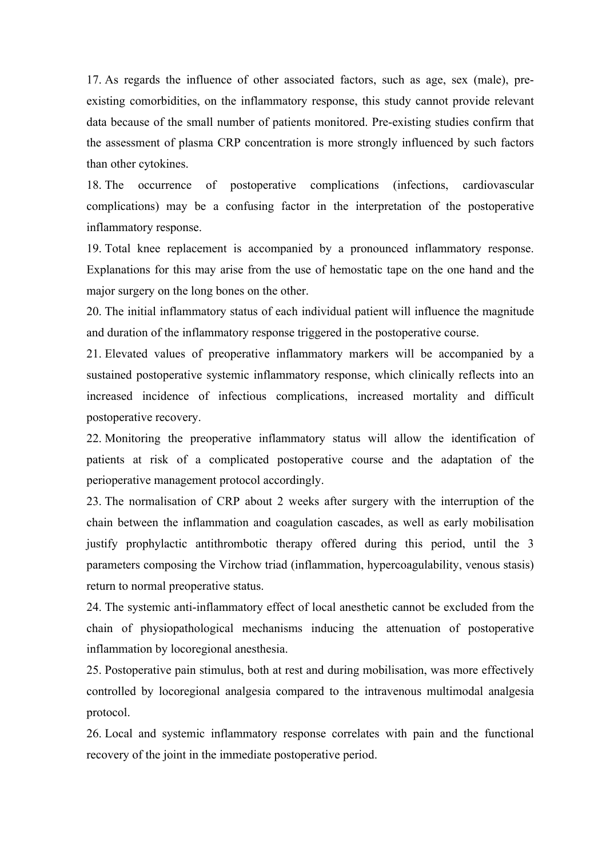17. As regards the influence of other associated factors, such as age, sex (male), preexisting comorbidities, on the inflammatory response, this study cannot provide relevant data because of the small number of patients monitored. Pre-existing studies confirm that the assessment of plasma CRP concentration is more strongly influenced by such factors than other cytokines.

18. The occurrence of postoperative complications (infections, cardiovascular complications) may be a confusing factor in the interpretation of the postoperative inflammatory response.

19. Total knee replacement is accompanied by a pronounced inflammatory response. Explanations for this may arise from the use of hemostatic tape on the one hand and the major surgery on the long bones on the other.

20. The initial inflammatory status of each individual patient will influence the magnitude and duration of the inflammatory response triggered in the postoperative course.

21. Elevated values of preoperative inflammatory markers will be accompanied by a sustained postoperative systemic inflammatory response, which clinically reflects into an increased incidence of infectious complications, increased mortality and difficult postoperative recovery.

22. Monitoring the preoperative inflammatory status will allow the identification of patients at risk of a complicated postoperative course and the adaptation of the perioperative management protocol accordingly.

23. The normalisation of CRP about 2 weeks after surgery with the interruption of the chain between the inflammation and coagulation cascades, as well as early mobilisation justify prophylactic antithrombotic therapy offered during this period, until the 3 parameters composing the Virchow triad (inflammation, hypercoagulability, venous stasis) return to normal preoperative status.

24. The systemic anti-inflammatory effect of local anesthetic cannot be excluded from the chain of physiopathological mechanisms inducing the attenuation of postoperative inflammation by locoregional anesthesia.

25. Postoperative pain stimulus, both at rest and during mobilisation, was more effectively controlled by locoregional analgesia compared to the intravenous multimodal analgesia protocol.

26. Local and systemic inflammatory response correlates with pain and the functional recovery of the joint in the immediate postoperative period.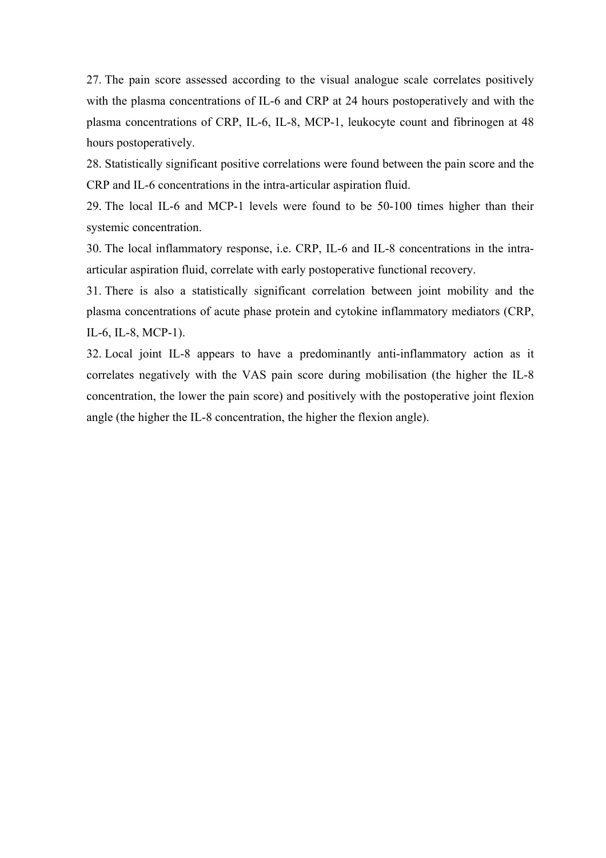27. The pain score assessed according to the visual analogue scale correlates positively with the plasma concentrations of IL-6 and CRP at 24 hours postoperatively and with the plasma concentrations of CRP, IL-6, IL-8, MCP-1, leukocyte count and fibrinogen at 48 hours postoperatively.

28. Statistically significant positive correlations were found between the pain score and the CRP and IL-6 concentrations in the intra-articular aspiration fluid.

29. The local IL-6 and MCP-1 levels were found to be 50-100 times higher than their systemic concentration.

30. The local inflammatory response, i.e. CRP, IL-6 and IL-8 concentrations in the intraarticular aspiration fluid, correlate with early postoperative functional recovery.

31. There is also a statistically significant correlation between joint mobility and the plasma concentrations of acute phase protein and cytokine inflammatory mediators (CRP, IL-6, IL-8, MCP-1).

32. Local joint IL-8 appears to have a predominantly anti-inflammatory action as it correlates negatively with the VAS pain score during mobilisation (the higher the IL-8 concentration, the lower the pain score) and positively with the postoperative joint flexion angle (the higher the IL-8 concentration, the higher the flexion angle).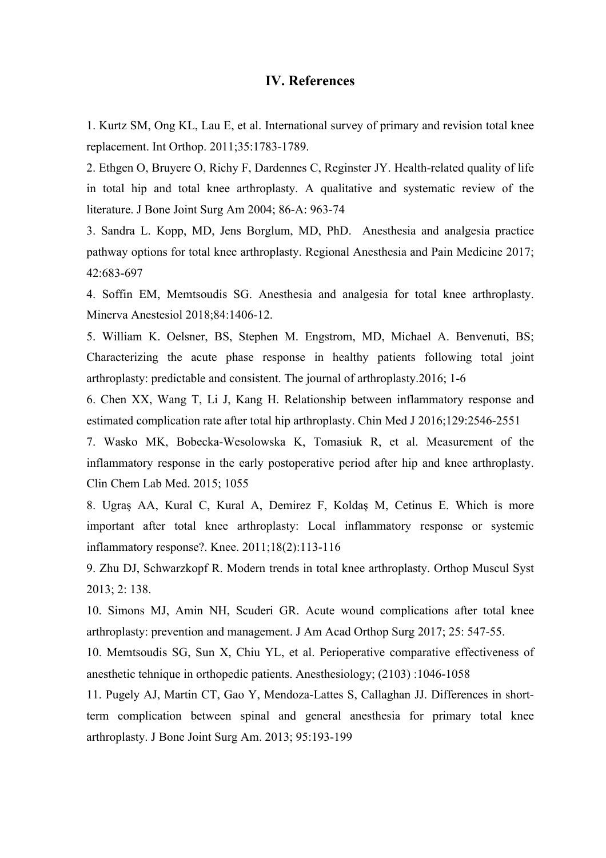### **IV. References**

1. Kurtz SM, Ong KL, Lau E, et al. International survey of primary and revision total knee replacement. Int Orthop. 2011;35:1783-1789.

2. Ethgen O, Bruyere O, Richy F, Dardennes C, Reginster JY. Health-related quality of life in total hip and total knee arthroplasty. A qualitative and systematic review of the literature. J Bone Joint Surg Am 2004; 86-A: 963-74

3. Sandra L. Kopp, MD, Jens Borglum, MD, PhD. Anesthesia and analgesia practice pathway options for total knee arthroplasty. Regional Anesthesia and Pain Medicine 2017; 42:683-697

4. Soffin EM, Memtsoudis SG. Anesthesia and analgesia for total knee arthroplasty. Minerva Anestesiol 2018;84:1406-12.

5. William K. Oelsner, BS, Stephen M. Engstrom, MD, Michael A. Benvenuti, BS; Characterizing the acute phase response in healthy patients following total joint arthroplasty: predictable and consistent. The journal of arthroplasty.2016; 1-6

6. Chen XX, Wang T, Li J, Kang H. Relationship between inflammatory response and estimated complication rate after total hip arthroplasty. Chin Med J 2016;129:2546-2551

7. Wasko MK, Bobecka-Wesolowska K, Tomasiuk R, et al. Measurement of the inflammatory response in the early postoperative period after hip and knee arthroplasty. Clin Chem Lab Med. 2015; 1055

8. Ugraş AA, Kural C, Kural A, Demirez F, Koldaş M, Cetinus E. Which is more important after total knee arthroplasty: Local inflammatory response or systemic inflammatory response?. Knee. 2011;18(2):113-116

9. Zhu DJ, Schwarzkopf R. Modern trends in total knee arthroplasty. Orthop Muscul Syst 2013; 2: 138.

10. Simons MJ, Amin NH, Scuderi GR. Acute wound complications after total knee arthroplasty: prevention and management. J Am Acad Orthop Surg 2017; 25: 547-55.

10. Memtsoudis SG, Sun X, Chiu YL, et al. Perioperative comparative effectiveness of anesthetic tehnique in orthopedic patients. Anesthesiology; (2103) :1046-1058

11. Pugely AJ, Martin CT, Gao Y, Mendoza-Lattes S, Callaghan JJ. Differences in shortterm complication between spinal and general anesthesia for primary total knee arthroplasty. J Bone Joint Surg Am. 2013; 95:193-199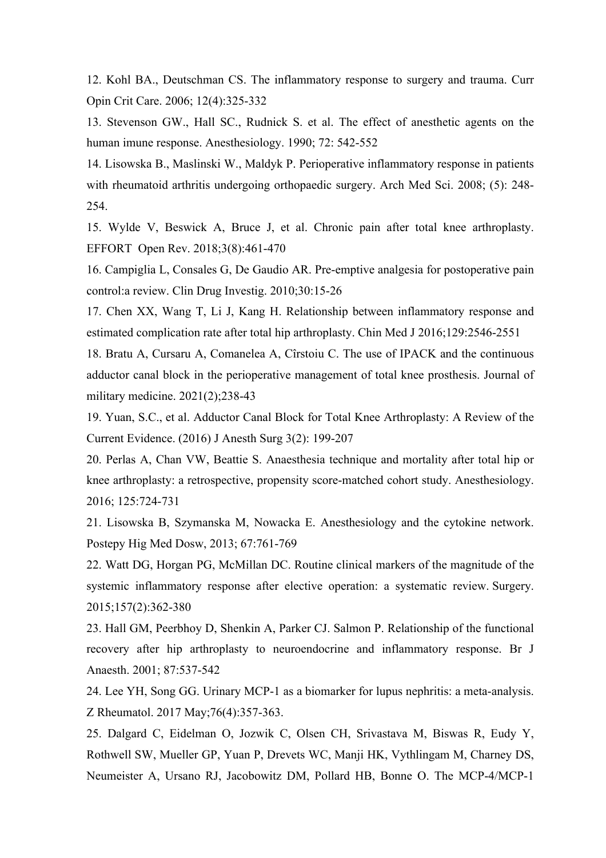12. Kohl BA., Deutschman CS. The inflammatory response to surgery and trauma. Curr Opin Crit Care. 2006; 12(4):325-332

13. Stevenson GW., Hall SC., Rudnick S. et al. The effect of anesthetic agents on the human imune response. Anesthesiology. 1990; 72: 542-552

14. Lisowska B., Maslinski W., Maldyk P. Perioperative inflammatory response in patients with rheumatoid arthritis undergoing orthopaedic surgery. Arch Med Sci. 2008; (5): 248-254.

15. Wylde V, Beswick A, Bruce J, et al. Chronic pain after total knee arthroplasty. EFFORT Open Rev. 2018;3(8):461-470

16. Campiglia L, Consales G, De Gaudio AR. Pre-emptive analgesia for postoperative pain control:a review. Clin Drug Investig. 2010;30:15-26

17. Chen XX, Wang T, Li J, Kang H. Relationship between inflammatory response and estimated complication rate after total hip arthroplasty. Chin Med J 2016;129:2546-2551

18. Bratu A, Cursaru A, Comanelea A, Cîrstoiu C. The use of IPACK and the continuous adductor canal block in the perioperative management of total knee prosthesis. Journal of military medicine. 2021(2);238-43

19. Yuan, S.C., et al. Adductor Canal Block for Total Knee Arthroplasty: A Review of the Current Evidence. (2016) J Anesth Surg 3(2): 199-207

20. Perlas A, Chan VW, Beattie S. Anaesthesia technique and mortality after total hip or knee arthroplasty: a retrospective, propensity score-matched cohort study. Anesthesiology. 2016; 125:724-731

21. Lisowska B, Szymanska M, Nowacka E. Anesthesiology and the cytokine network. Postepy Hig Med Dosw, 2013; 67:761-769

22. Watt DG, Horgan PG, McMillan DC. Routine clinical markers of the magnitude of the systemic inflammatory response after elective operation: a systematic review. Surgery. 2015;157(2):362-380

23. Hall GM, Peerbhoy D, Shenkin A, Parker CJ. Salmon P. Relationship of the functional recovery after hip arthroplasty to neuroendocrine and inflammatory response. Br J Anaesth. 2001; 87:537-542

24. Lee YH, Song GG. Urinary MCP-1 as a biomarker for lupus nephritis: a meta-analysis. Z Rheumatol. 2017 May;76(4):357-363.

25. Dalgard C, Eidelman O, Jozwik C, Olsen CH, Srivastava M, Biswas R, Eudy Y, Rothwell SW, Mueller GP, Yuan P, Drevets WC, Manji HK, Vythlingam M, Charney DS, Neumeister A, Ursano RJ, Jacobowitz DM, Pollard HB, Bonne O. The MCP-4/MCP-1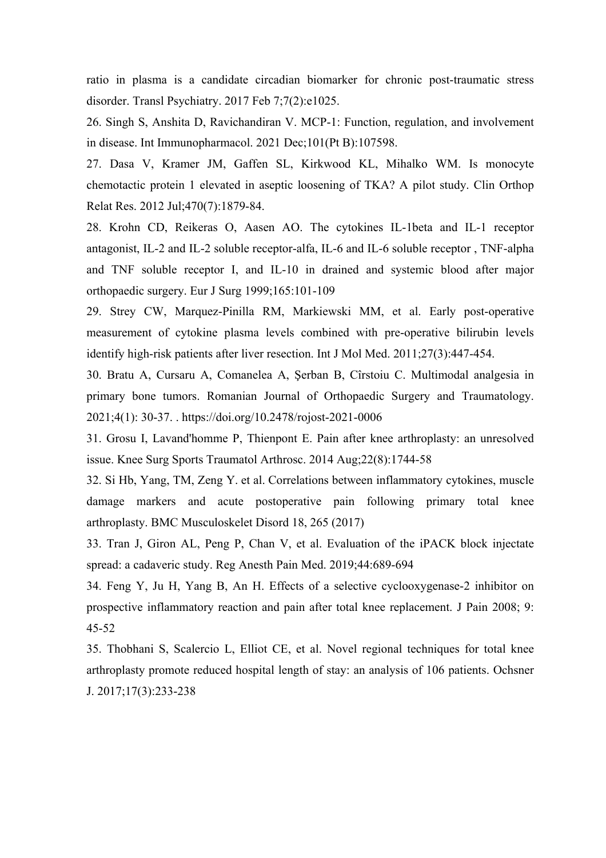ratio in plasma is a candidate circadian biomarker for chronic post-traumatic stress disorder. Transl Psychiatry. 2017 Feb 7;7(2):e1025.

26. Singh S, Anshita D, Ravichandiran V. MCP-1: Function, regulation, and involvement in disease. Int Immunopharmacol. 2021 Dec;101(Pt B):107598.

27. Dasa V, Kramer JM, Gaffen SL, Kirkwood KL, Mihalko WM. Is monocyte chemotactic protein 1 elevated in aseptic loosening of TKA? A pilot study. Clin Orthop Relat Res. 2012 Jul;470(7):1879-84.

28. Krohn CD, Reikeras O, Aasen AO. The cytokines IL-1beta and IL-1 receptor antagonist, IL-2 and IL-2 soluble receptor-alfa, IL-6 and IL-6 soluble receptor , TNF-alpha and TNF soluble receptor I, and IL-10 in drained and systemic blood after major orthopaedic surgery. Eur J Surg 1999;165:101-109

29. Strey CW, Marquez-Pinilla RM, Markiewski MM, et al. Early post-operative measurement of cytokine plasma levels combined with pre-operative bilirubin levels identify high-risk patients after liver resection. Int J Mol Med. 2011;27(3):447-454.

30. Bratu A, Cursaru A, Comanelea A, Şerban B, Cîrstoiu C. Multimodal analgesia in primary bone tumors. Romanian Journal of Orthopaedic Surgery and Traumatology. 2021;4(1): 30-37. . https://doi.org/10.2478/rojost-2021-0006

31. Grosu I, Lavand'homme P, Thienpont E. Pain after knee arthroplasty: an unresolved issue. Knee Surg Sports Traumatol Arthrosc. 2014 Aug;22(8):1744-58

32. Si Hb, Yang, TM, Zeng Y. et al. Correlations between inflammatory cytokines, muscle damage markers and acute postoperative pain following primary total knee arthroplasty. BMC Musculoskelet Disord 18, 265 (2017)

33. Tran J, Giron AL, Peng P, Chan V, et al. Evaluation of the iPACK block injectate spread: a cadaveric study. Reg Anesth Pain Med. 2019;44:689-694

34. Feng Y, Ju H, Yang B, An H. Effects of a selective cyclooxygenase-2 inhibitor on prospective inflammatory reaction and pain after total knee replacement. J Pain 2008; 9: 45-52

35. Thobhani S, Scalercio L, Elliot CE, et al. Novel regional techniques for total knee arthroplasty promote reduced hospital length of stay: an analysis of 106 patients. Ochsner J. 2017;17(3):233-238